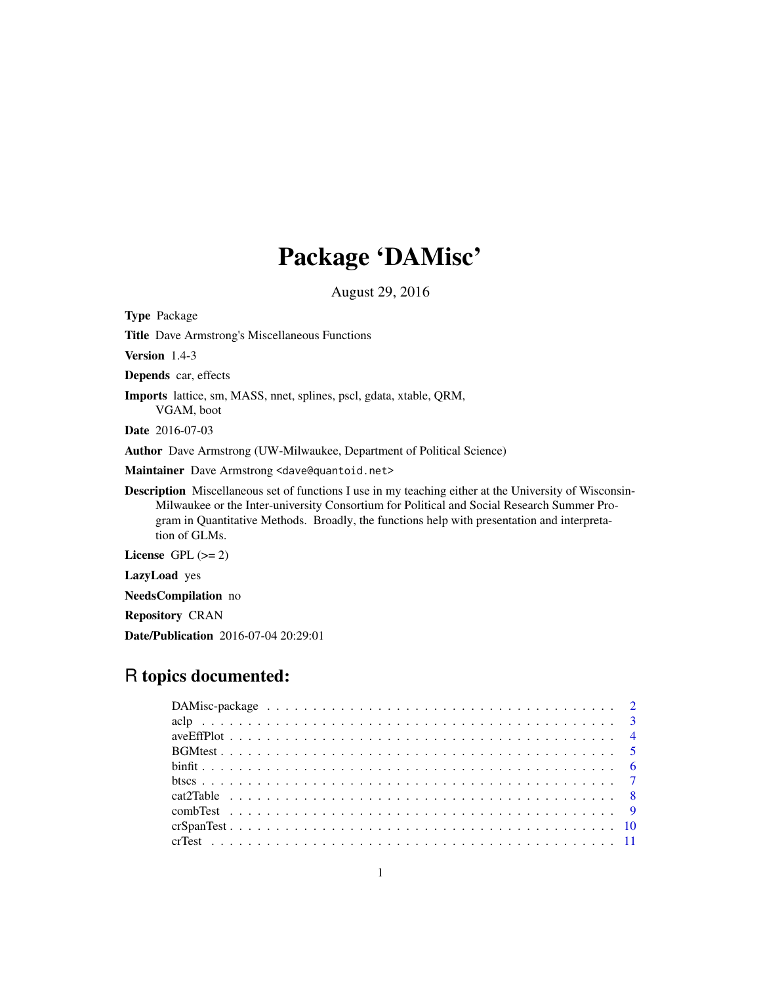# Package 'DAMisc'

August 29, 2016

Title Dave Armstrong's Miscellaneous Functions Version 1.4-3 Depends car, effects Imports lattice, sm, MASS, nnet, splines, pscl, gdata, xtable, QRM, VGAM, boot Date 2016-07-03 Author Dave Armstrong (UW-Milwaukee, Department of Political Science) Maintainer Dave Armstrong <dave@quantoid.net> Description Miscellaneous set of functions I use in my teaching either at the University of Wisconsin-Milwaukee or the Inter-university Consortium for Political and Social Research Summer Program in Quantitative Methods. Broadly, the functions help with presentation and interpretation of GLMs. License GPL  $(>= 2)$ LazyLoad yes NeedsCompilation no Repository CRAN

Date/Publication 2016-07-04 20:29:01

<span id="page-0-0"></span>Type Package

# R topics documented: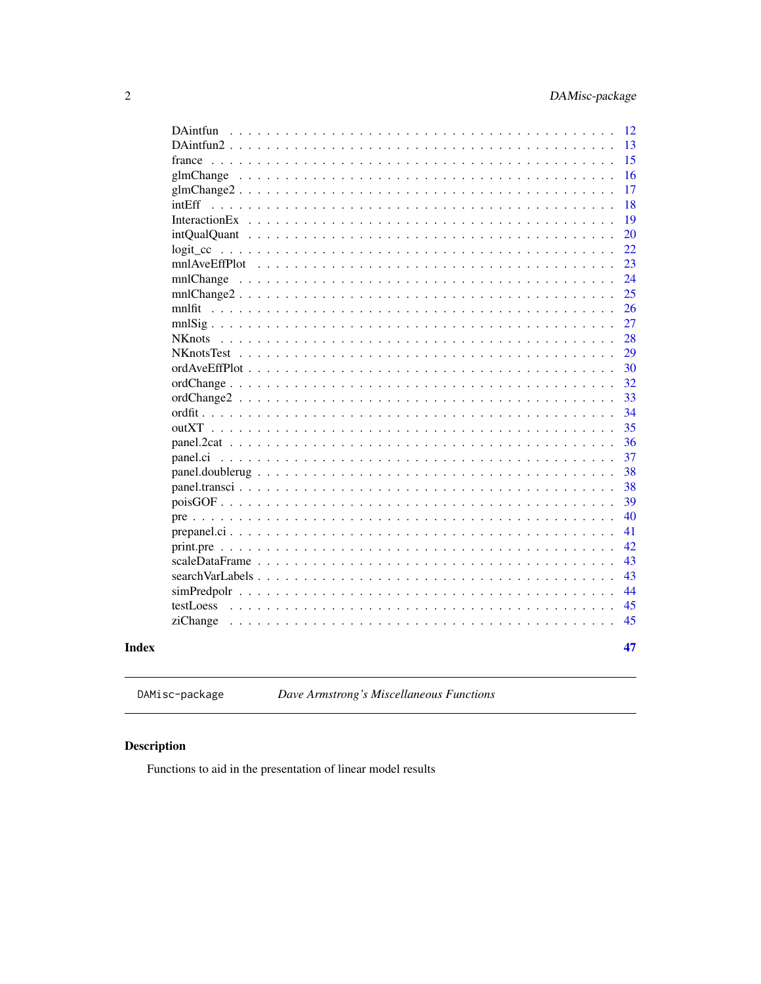<span id="page-1-0"></span>

| DAintfun                                                                                                            | 12 |
|---------------------------------------------------------------------------------------------------------------------|----|
|                                                                                                                     | 13 |
| france                                                                                                              | 15 |
|                                                                                                                     | 16 |
|                                                                                                                     | 17 |
|                                                                                                                     | 18 |
|                                                                                                                     | 19 |
|                                                                                                                     | 20 |
|                                                                                                                     | 22 |
|                                                                                                                     | 23 |
|                                                                                                                     | 24 |
| $mnlChange2 \ldots \ldots \ldots \ldots \ldots \ldots \ldots \ldots \ldots \ldots \ldots \ldots$                    | 25 |
|                                                                                                                     | 26 |
|                                                                                                                     | 27 |
| <b>NK</b> nots                                                                                                      | 28 |
|                                                                                                                     | 29 |
|                                                                                                                     | 30 |
|                                                                                                                     | 32 |
|                                                                                                                     | 33 |
|                                                                                                                     | 34 |
|                                                                                                                     | 35 |
|                                                                                                                     | 36 |
| panel.ci                                                                                                            | 37 |
|                                                                                                                     | 38 |
|                                                                                                                     | 38 |
|                                                                                                                     | 39 |
| pre                                                                                                                 | 40 |
|                                                                                                                     | 41 |
| print.pre $\ldots$ ,                                                                                                | 42 |
| scaleDataFrame<br>$\sim$ $\sim$                                                                                     | 43 |
| searchVarLabels<br>$\ddot{\phantom{a}}$                                                                             | 43 |
|                                                                                                                     | 44 |
| testLoess<br>$\mathbf{r}$ , $\mathbf{r}$ , $\mathbf{r}$ , $\mathbf{r}$ , $\mathbf{r}$ , $\mathbf{r}$ , $\mathbf{r}$ | 45 |
| ziChange                                                                                                            | 45 |
|                                                                                                                     |    |
|                                                                                                                     | 47 |
|                                                                                                                     |    |

**Index** 

DAMisc-package

Dave Armstrong's Miscellaneous Functions

# **Description**

Functions to aid in the presentation of linear model results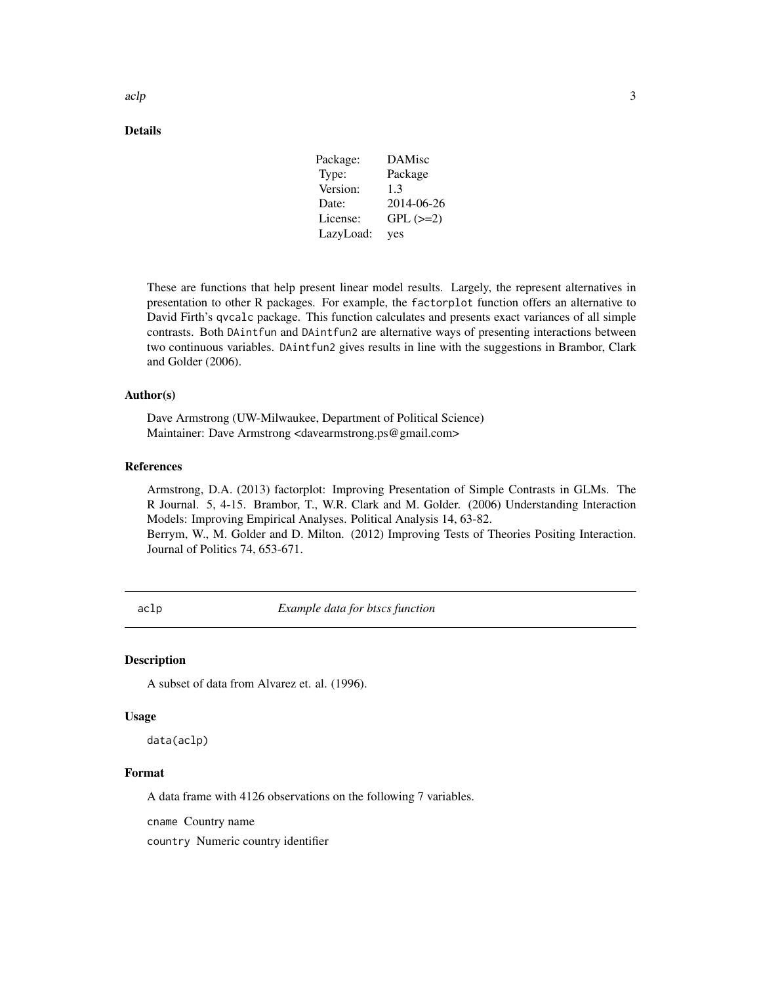| Package:  | DAMisc        |
|-----------|---------------|
| Type:     | Package       |
| Version:  | 1.3           |
| Date:     | 2014-06-26    |
| License:  | $GPL$ $(>=2)$ |
| LazyLoad: | yes           |

<span id="page-2-0"></span>These are functions that help present linear model results. Largely, the represent alternatives in presentation to other R packages. For example, the factorplot function offers an alternative to David Firth's qvcalc package. This function calculates and presents exact variances of all simple contrasts. Both DAintfun and DAintfun2 are alternative ways of presenting interactions between two continuous variables. DAintfun2 gives results in line with the suggestions in Brambor, Clark and Golder (2006).

#### Author(s)

Dave Armstrong (UW-Milwaukee, Department of Political Science) Maintainer: Dave Armstrong <davearmstrong.ps@gmail.com>

#### References

Armstrong, D.A. (2013) factorplot: Improving Presentation of Simple Contrasts in GLMs. The R Journal. 5, 4-15. Brambor, T., W.R. Clark and M. Golder. (2006) Understanding Interaction Models: Improving Empirical Analyses. Political Analysis 14, 63-82. Berrym, W., M. Golder and D. Milton. (2012) Improving Tests of Theories Positing Interaction. Journal of Politics 74, 653-671.

aclp *Example data for btscs function*

#### **Description**

A subset of data from Alvarez et. al. (1996).

#### Usage

data(aclp)

# Format

A data frame with 4126 observations on the following 7 variables.

cname Country name

country Numeric country identifier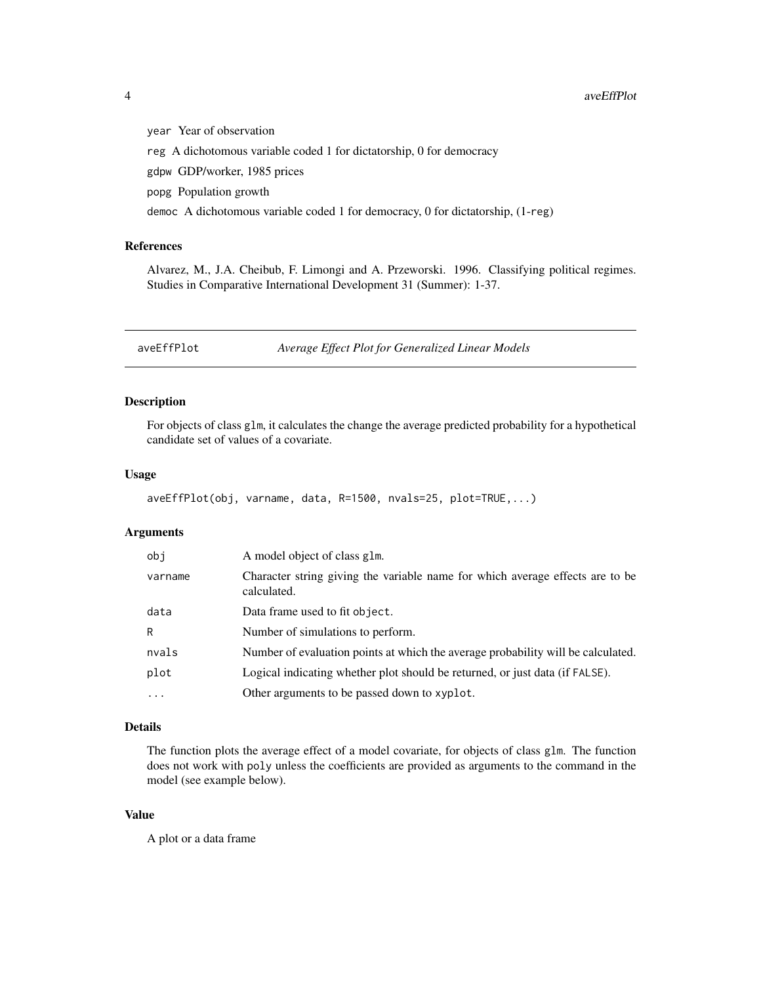year Year of observation reg A dichotomous variable coded 1 for dictatorship, 0 for democracy gdpw GDP/worker, 1985 prices popg Population growth democ A dichotomous variable coded 1 for democracy, 0 for dictatorship, (1-reg)

# References

Alvarez, M., J.A. Cheibub, F. Limongi and A. Przeworski. 1996. Classifying political regimes. Studies in Comparative International Development 31 (Summer): 1-37.

aveEffPlot *Average Effect Plot for Generalized Linear Models*

#### Description

For objects of class glm, it calculates the change the average predicted probability for a hypothetical candidate set of values of a covariate.

#### Usage

```
aveEffPlot(obj, varname, data, R=1500, nvals=25, plot=TRUE,...)
```
# Arguments

| obj      | A model object of class glm.                                                                 |
|----------|----------------------------------------------------------------------------------------------|
| varname  | Character string giving the variable name for which average effects are to be<br>calculated. |
| data     | Data frame used to fit object.                                                               |
| R        | Number of simulations to perform.                                                            |
| nvals    | Number of evaluation points at which the average probability will be calculated.             |
| plot     | Logical indicating whether plot should be returned, or just data (if FALSE).                 |
| $\cdots$ | Other arguments to be passed down to xyplot.                                                 |

# Details

The function plots the average effect of a model covariate, for objects of class glm. The function does not work with poly unless the coefficients are provided as arguments to the command in the model (see example below).

# Value

A plot or a data frame

<span id="page-3-0"></span>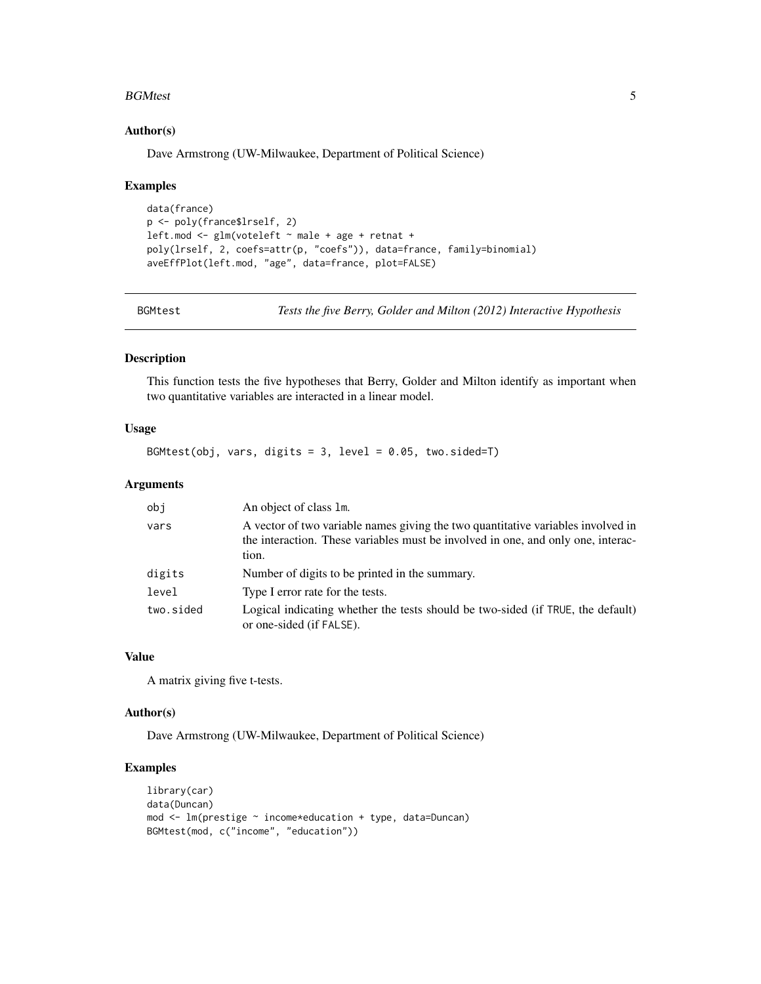#### <span id="page-4-0"></span>BGMtest 5

#### Author(s)

Dave Armstrong (UW-Milwaukee, Department of Political Science)

#### Examples

```
data(france)
p <- poly(france$lrself, 2)
left.mod \leq glm(voteleft \sim male + age + retnat +
poly(lrself, 2, coefs=attr(p, "coefs")), data=france, family=binomial)
aveEffPlot(left.mod, "age", data=france, plot=FALSE)
```
BGMtest *Tests the five Berry, Golder and Milton (2012) Interactive Hypothesis*

#### Description

This function tests the five hypotheses that Berry, Golder and Milton identify as important when two quantitative variables are interacted in a linear model.

# Usage

BGMtest(obj, vars, digits = 3, level =  $0.05$ , two.sided=T)

# Arguments

| obj       | An object of class 1m.                                                                                                                                                        |
|-----------|-------------------------------------------------------------------------------------------------------------------------------------------------------------------------------|
| vars      | A vector of two variable names giving the two quantitative variables involved in<br>the interaction. These variables must be involved in one, and only one, interac-<br>tion. |
| digits    | Number of digits to be printed in the summary.                                                                                                                                |
| level     | Type I error rate for the tests.                                                                                                                                              |
| two.sided | Logical indicating whether the tests should be two-sided (if TRUE, the default)<br>or one-sided (if FALSE).                                                                   |

# Value

A matrix giving five t-tests.

#### Author(s)

Dave Armstrong (UW-Milwaukee, Department of Political Science)

```
library(car)
data(Duncan)
mod <- lm(prestige ~ income*education + type, data=Duncan)
BGMtest(mod, c("income", "education"))
```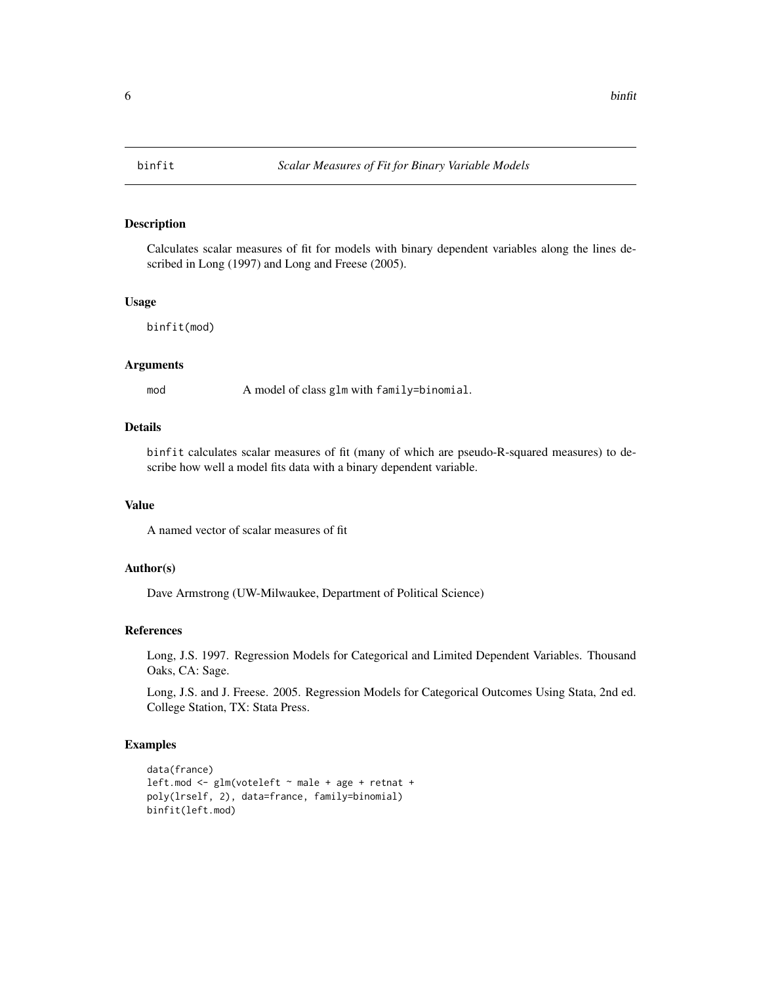<span id="page-5-0"></span>

Calculates scalar measures of fit for models with binary dependent variables along the lines described in Long (1997) and Long and Freese (2005).

#### Usage

binfit(mod)

#### Arguments

mod A model of class glm with family=binomial.

# Details

binfit calculates scalar measures of fit (many of which are pseudo-R-squared measures) to describe how well a model fits data with a binary dependent variable.

# Value

A named vector of scalar measures of fit

# Author(s)

Dave Armstrong (UW-Milwaukee, Department of Political Science)

#### References

Long, J.S. 1997. Regression Models for Categorical and Limited Dependent Variables. Thousand Oaks, CA: Sage.

Long, J.S. and J. Freese. 2005. Regression Models for Categorical Outcomes Using Stata, 2nd ed. College Station, TX: Stata Press.

```
data(france)
leftmod \leftarrow glm(voteleft \rightarrow male + age + retnat +poly(lrself, 2), data=france, family=binomial)
binfit(left.mod)
```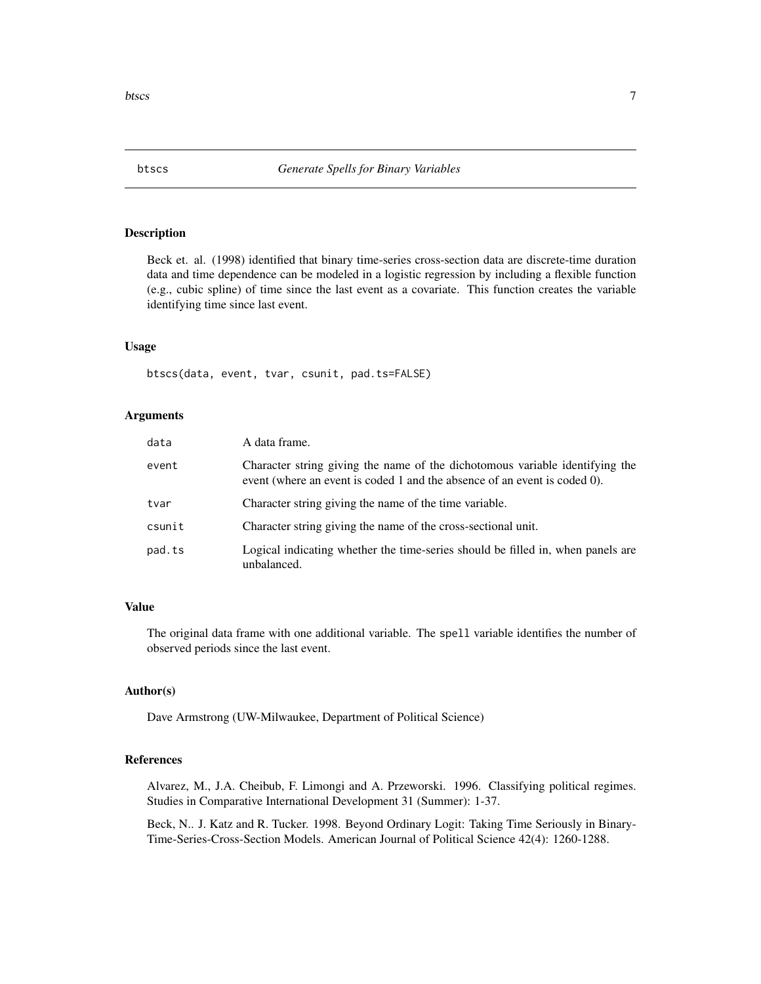<span id="page-6-0"></span>Beck et. al. (1998) identified that binary time-series cross-section data are discrete-time duration data and time dependence can be modeled in a logistic regression by including a flexible function (e.g., cubic spline) of time since the last event as a covariate. This function creates the variable identifying time since last event.

#### Usage

btscs(data, event, tvar, csunit, pad.ts=FALSE)

#### Arguments

| data   | A data frame.                                                                                                                                             |
|--------|-----------------------------------------------------------------------------------------------------------------------------------------------------------|
| event  | Character string giving the name of the dichotomous variable identifying the<br>event (where an event is coded 1 and the absence of an event is coded 0). |
| tvar   | Character string giving the name of the time variable.                                                                                                    |
| csunit | Character string giving the name of the cross-sectional unit.                                                                                             |
| pad.ts | Logical indicating whether the time-series should be filled in, when panels are<br>unbalanced.                                                            |

#### Value

The original data frame with one additional variable. The spell variable identifies the number of observed periods since the last event.

# Author(s)

Dave Armstrong (UW-Milwaukee, Department of Political Science)

#### References

Alvarez, M., J.A. Cheibub, F. Limongi and A. Przeworski. 1996. Classifying political regimes. Studies in Comparative International Development 31 (Summer): 1-37.

Beck, N.. J. Katz and R. Tucker. 1998. Beyond Ordinary Logit: Taking Time Seriously in Binary-Time-Series-Cross-Section Models. American Journal of Political Science 42(4): 1260-1288.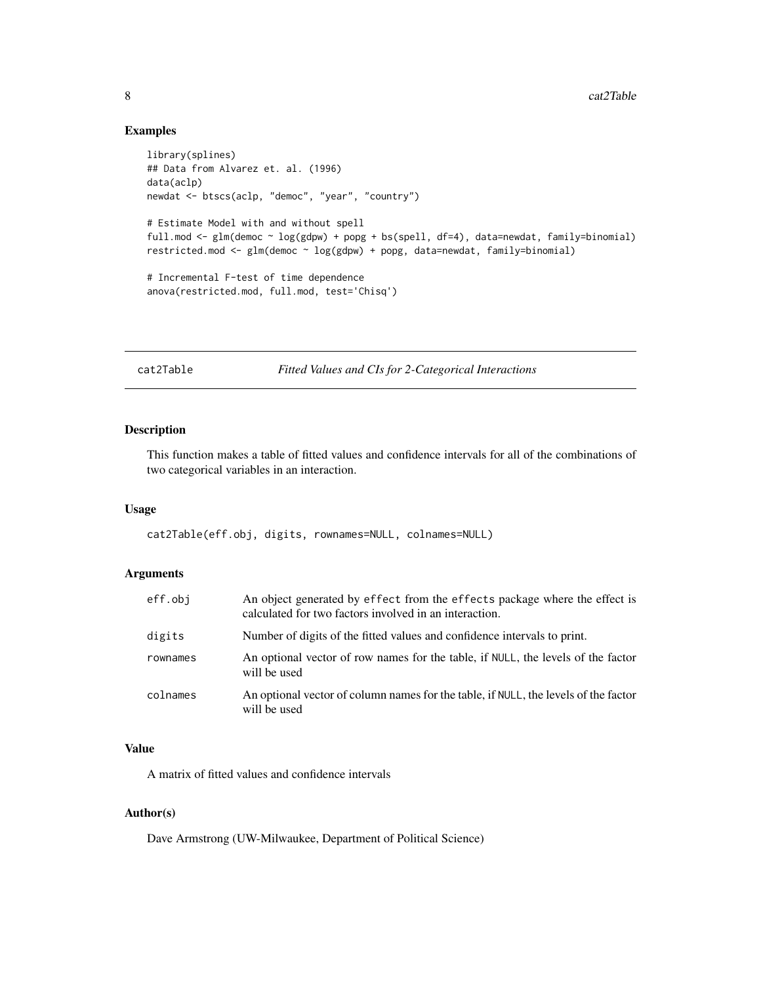# Examples

```
library(splines)
## Data from Alvarez et. al. (1996)
data(aclp)
newdat <- btscs(aclp, "democ", "year", "country")
# Estimate Model with and without spell
full.mod <- glm(democ ~ log(gdpw) + popg + bs(spell, df=4), data=newdat, family=binomial)
restricted.mod <- glm(democ ~ log(gdpw) + popg, data=newdat, family=binomial)
# Incremental F-test of time dependence
anova(restricted.mod, full.mod, test='Chisq')
```
cat2Table *Fitted Values and CIs for 2-Categorical Interactions*

# Description

This function makes a table of fitted values and confidence intervals for all of the combinations of two categorical variables in an interaction.

# Usage

cat2Table(eff.obj, digits, rownames=NULL, colnames=NULL)

# Arguments

| eff.obj  | An object generated by effect from the effects package where the effect is<br>calculated for two factors involved in an interaction. |
|----------|--------------------------------------------------------------------------------------------------------------------------------------|
| digits   | Number of digits of the fitted values and confidence intervals to print.                                                             |
| rownames | An optional vector of row names for the table, if NULL, the levels of the factor<br>will be used                                     |
| colnames | An optional vector of column names for the table, if NULL, the levels of the factor<br>will be used                                  |

# Value

A matrix of fitted values and confidence intervals

# Author(s)

Dave Armstrong (UW-Milwaukee, Department of Political Science)

<span id="page-7-0"></span>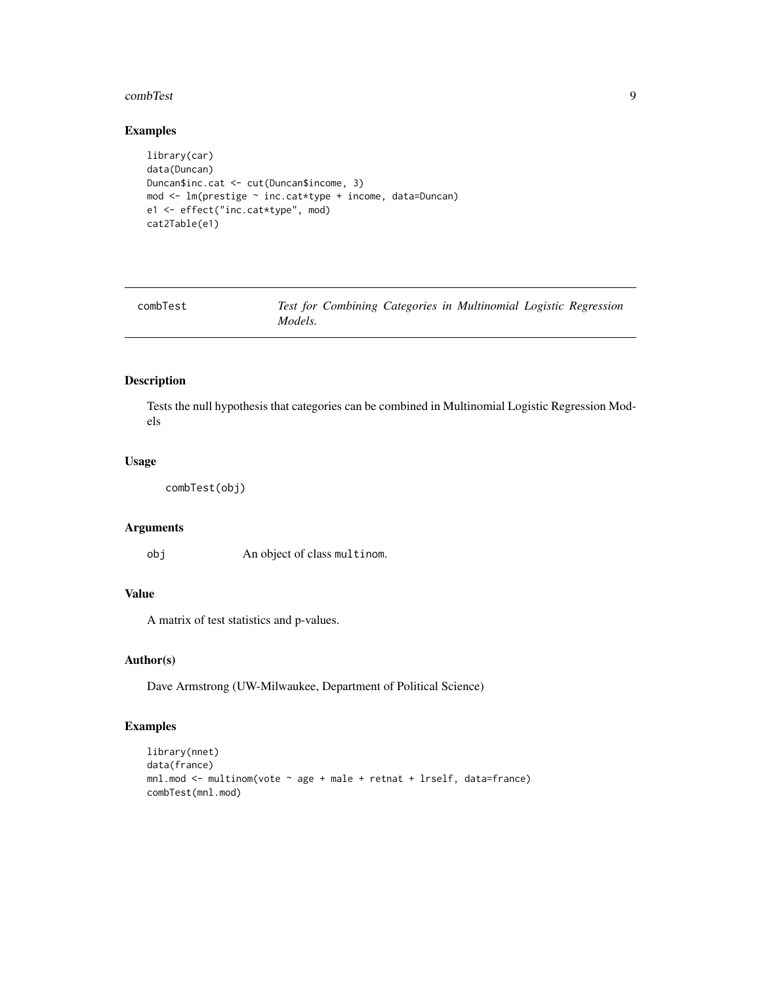#### <span id="page-8-0"></span>combTest 9

# Examples

```
library(car)
data(Duncan)
Duncan$inc.cat <- cut(Duncan$income, 3)
mod <- lm(prestige ~ inc.cat*type + income, data=Duncan)
e1 <- effect("inc.cat*type", mod)
cat2Table(e1)
```

| combTest | Test for Combining Categories in Multinomial Logistic Regression |  |  |
|----------|------------------------------------------------------------------|--|--|
|          | Models.                                                          |  |  |

# Description

Tests the null hypothesis that categories can be combined in Multinomial Logistic Regression Models

#### Usage

```
combTest(obj)
```
# Arguments

obj An object of class multinom.

# Value

A matrix of test statistics and p-values.

# Author(s)

Dave Armstrong (UW-Milwaukee, Department of Political Science)

```
library(nnet)
data(france)
mnl.mod <- multinom(vote ~ age + male + retnat + lrself, data=france)
combTest(mnl.mod)
```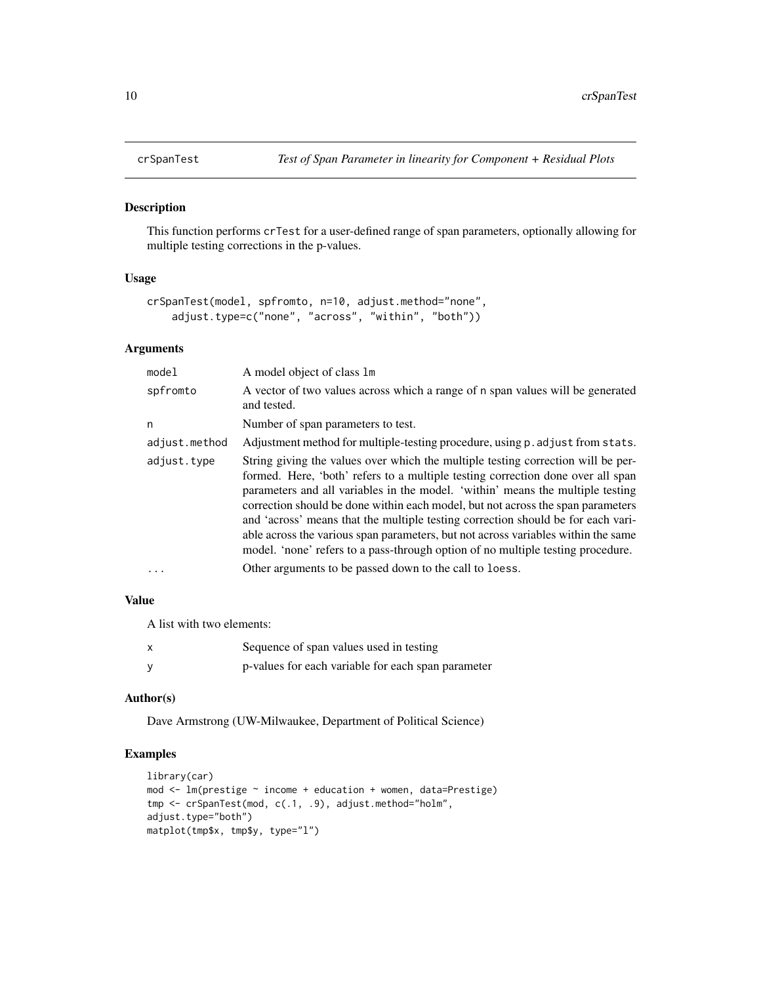<span id="page-9-0"></span>

This function performs crTest for a user-defined range of span parameters, optionally allowing for multiple testing corrections in the p-values.

#### Usage

```
crSpanTest(model, spfromto, n=10, adjust.method="none",
   adjust.type=c("none", "across", "within", "both"))
```
# Arguments

| model         | A model object of class 1m                                                                                                                                                                                                                                                                                                                                                                                                                                                                                                                                                                           |
|---------------|------------------------------------------------------------------------------------------------------------------------------------------------------------------------------------------------------------------------------------------------------------------------------------------------------------------------------------------------------------------------------------------------------------------------------------------------------------------------------------------------------------------------------------------------------------------------------------------------------|
| spfromto      | A vector of two values across which a range of n span values will be generated<br>and tested.                                                                                                                                                                                                                                                                                                                                                                                                                                                                                                        |
| n             | Number of span parameters to test.                                                                                                                                                                                                                                                                                                                                                                                                                                                                                                                                                                   |
| adjust.method | Adjustment method for multiple-testing procedure, using p. adjust from stats.                                                                                                                                                                                                                                                                                                                                                                                                                                                                                                                        |
| adjust.type   | String giving the values over which the multiple testing correction will be per-<br>formed. Here, 'both' refers to a multiple testing correction done over all span<br>parameters and all variables in the model. 'within' means the multiple testing<br>correction should be done within each model, but not across the span parameters<br>and 'across' means that the multiple testing correction should be for each vari-<br>able across the various span parameters, but not across variables within the same<br>model. 'none' refers to a pass-through option of no multiple testing procedure. |
| $\cdot$       | Other arguments to be passed down to the call to loess.                                                                                                                                                                                                                                                                                                                                                                                                                                                                                                                                              |

# Value

A list with two elements:

| Sequence of span values used in testing            |
|----------------------------------------------------|
| p-values for each variable for each span parameter |

# Author(s)

Dave Armstrong (UW-Milwaukee, Department of Political Science)

```
library(car)
mod \leq lm(prestige \sim income + education + women, data=Prestige)
tmp <- crSpanTest(mod, c(.1, .9), adjust.method="holm",
adjust.type="both")
matplot(tmp$x, tmp$y, type="l")
```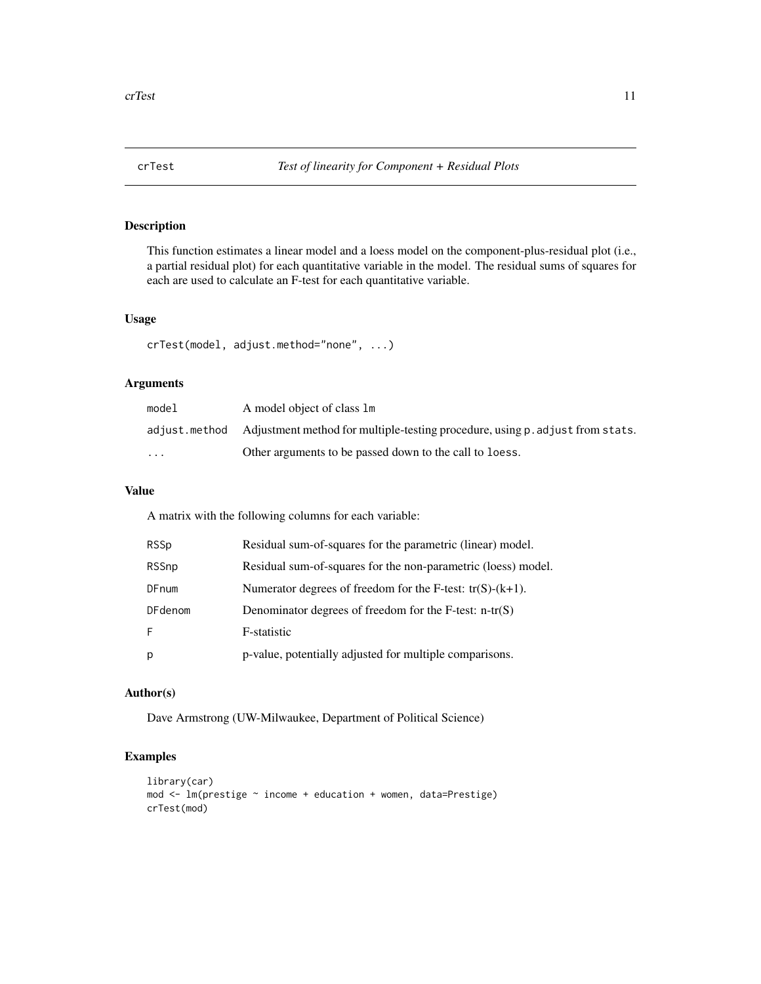<span id="page-10-0"></span>

This function estimates a linear model and a loess model on the component-plus-residual plot (i.e., a partial residual plot) for each quantitative variable in the model. The residual sums of squares for each are used to calculate an F-test for each quantitative variable.

# Usage

```
crTest(model, adjust.method="none", ...)
```
# Arguments

| model                   | A model object of class 1m                                                                  |
|-------------------------|---------------------------------------------------------------------------------------------|
|                         | adjust.method Adjustment method for multiple-testing procedure, using p. adjust from stats. |
| $\cdot$ $\cdot$ $\cdot$ | Other arguments to be passed down to the call to loess.                                     |

# Value

A matrix with the following columns for each variable:

| RSSp    | Residual sum-of-squares for the parametric (linear) model.    |
|---------|---------------------------------------------------------------|
| RSSnp   | Residual sum-of-squares for the non-parametric (loess) model. |
| DFnum   | Numerator degrees of freedom for the F-test: $tr(S)-(k+1)$ .  |
| DFdenom | Denominator degrees of freedom for the F-test: $n-tr(S)$      |
| F.      | F-statistic                                                   |
| p       | p-value, potentially adjusted for multiple comparisons.       |

# Author(s)

Dave Armstrong (UW-Milwaukee, Department of Political Science)

```
library(car)
mod <- lm(prestige ~ income + education + women, data=Prestige)
crTest(mod)
```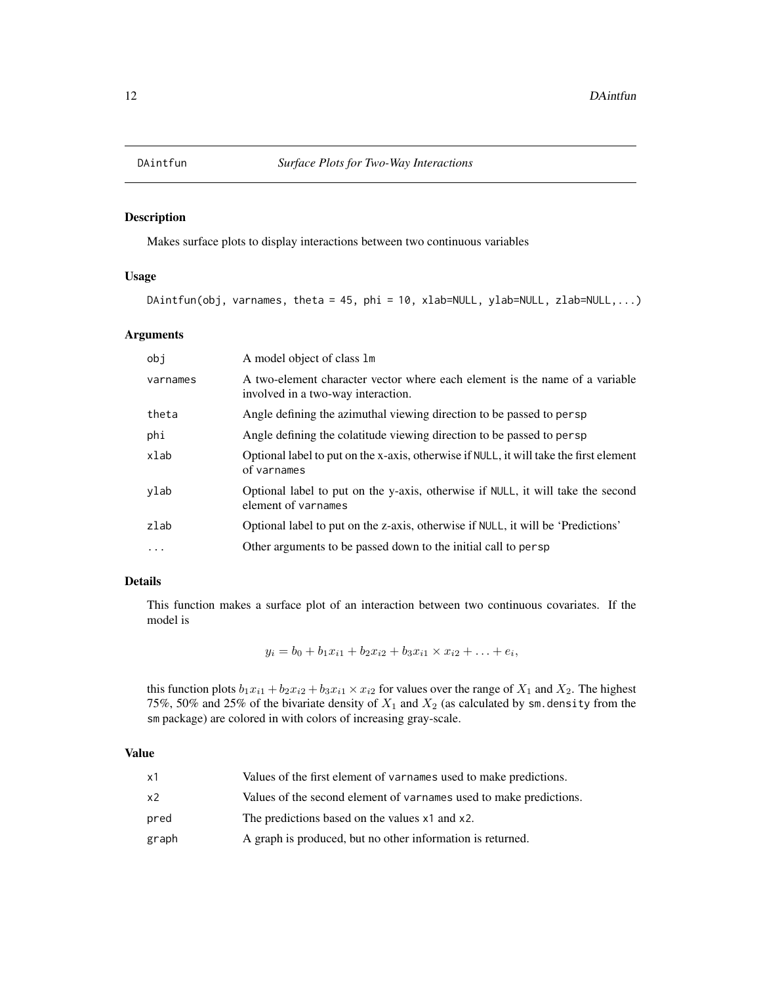<span id="page-11-0"></span>

Makes surface plots to display interactions between two continuous variables

# Usage

```
DAintfun(obj, varnames, theta = 45, phi = 10, xlab=NULL, ylab=NULL, zlab=NULL,...)
```
# Arguments

| obj        | A model object of class 1m                                                                                        |
|------------|-------------------------------------------------------------------------------------------------------------------|
| varnames   | A two-element character vector where each element is the name of a variable<br>involved in a two-way interaction. |
| theta      | Angle defining the azimuthal viewing direction to be passed to persp                                              |
| phi        | Angle defining the colatitude viewing direction to be passed to persp                                             |
| xlab       | Optional label to put on the x-axis, otherwise if NULL, it will take the first element<br>of varnames             |
| ylab       | Optional label to put on the y-axis, otherwise if NULL, it will take the second<br>element of varnames            |
| zlab       | Optional label to put on the z-axis, otherwise if NULL, it will be 'Predictions'                                  |
| $\ddots$ . | Other arguments to be passed down to the initial call to persp                                                    |

# Details

This function makes a surface plot of an interaction between two continuous covariates. If the model is

 $y_i = b_0 + b_1 x_{i1} + b_2 x_{i2} + b_3 x_{i1} \times x_{i2} + \ldots + e_i,$ 

this function plots  $b_1x_{i1} + b_2x_{i2} + b_3x_{i1} \times x_{i2}$  for values over the range of  $X_1$  and  $X_2$ . The highest 75%, 50% and 25% of the bivariate density of  $X_1$  and  $X_2$  (as calculated by sm. density from the sm package) are colored in with colors of increasing gray-scale.

# Value

| x1    | Values of the first element of varnames used to make predictions.  |
|-------|--------------------------------------------------------------------|
| x2    | Values of the second element of varnames used to make predictions. |
| pred  | The predictions based on the values x1 and x2.                     |
| graph | A graph is produced, but no other information is returned.         |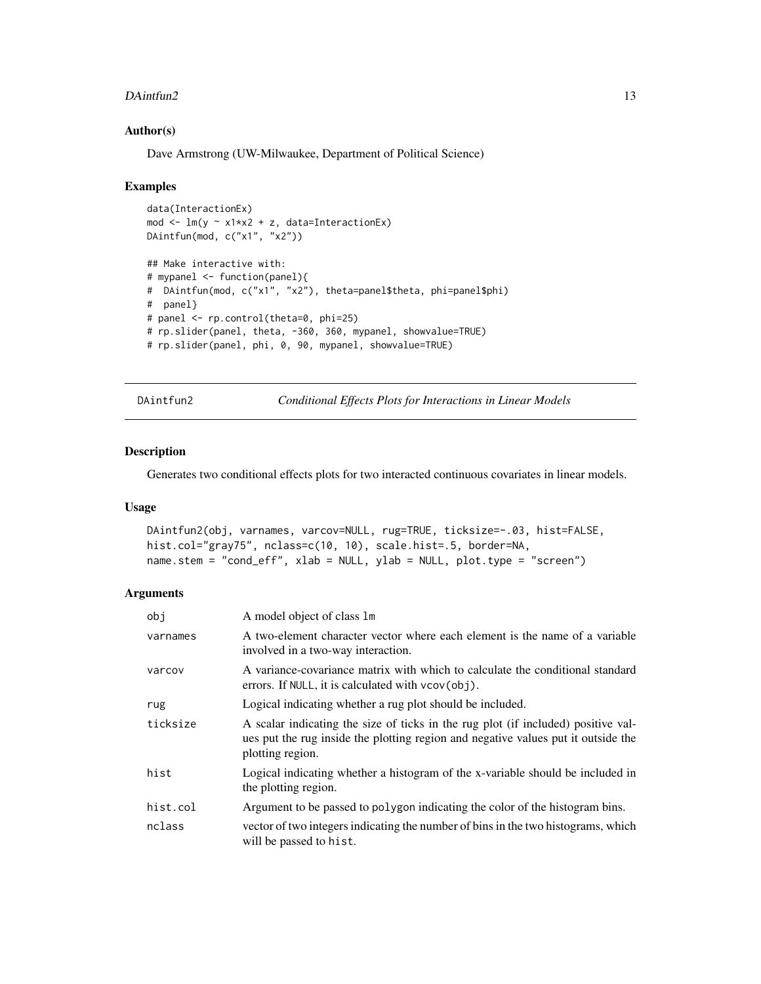#### <span id="page-12-0"></span> $D$ Aintfun2 13

#### Author(s)

Dave Armstrong (UW-Milwaukee, Department of Political Science)

#### Examples

```
data(InteractionEx)
mod <- lm(y ~ x1*x2 + z, data=InteractionEx)
DAintfun(mod, c("x1", "x2"))
## Make interactive with:
# mypanel <- function(panel){
# DAintfun(mod, c("x1", "x2"), theta=panel$theta, phi=panel$phi)
# panel}
# panel <- rp.control(theta=0, phi=25)
# rp.slider(panel, theta, -360, 360, mypanel, showvalue=TRUE)
# rp.slider(panel, phi, 0, 90, mypanel, showvalue=TRUE)
```
DAintfun2 *Conditional Effects Plots for Interactions in Linear Models*

# Description

Generates two conditional effects plots for two interacted continuous covariates in linear models.

#### Usage

```
DAintfun2(obj, varnames, varcov=NULL, rug=TRUE, ticksize=-.03, hist=FALSE,
hist.col="gray75", nclass=c(10, 10), scale.hist=.5, border=NA,
name.stem = "cond_eff", xlab = NULL, ylab = NULL, plot.type = "screen")
```
# Arguments

| obj      | A model object of class 1m                                                                                                                                                                 |
|----------|--------------------------------------------------------------------------------------------------------------------------------------------------------------------------------------------|
| varnames | A two-element character vector where each element is the name of a variable<br>involved in a two-way interaction.                                                                          |
| varcov   | A variance-covariance matrix with which to calculate the conditional standard<br>errors. If NULL, it is calculated with $vcov(obj)$ .                                                      |
| rug      | Logical indicating whether a rug plot should be included.                                                                                                                                  |
| ticksize | A scalar indicating the size of ticks in the rug plot (if included) positive val-<br>ues put the rug inside the plotting region and negative values put it outside the<br>plotting region. |
| hist     | Logical indicating whether a histogram of the x-variable should be included in<br>the plotting region.                                                                                     |
| hist.col | Argument to be passed to polygon indicating the color of the histogram bins.                                                                                                               |
| nclass   | vector of two integers indicating the number of bins in the two histograms, which<br>will be passed to hist.                                                                               |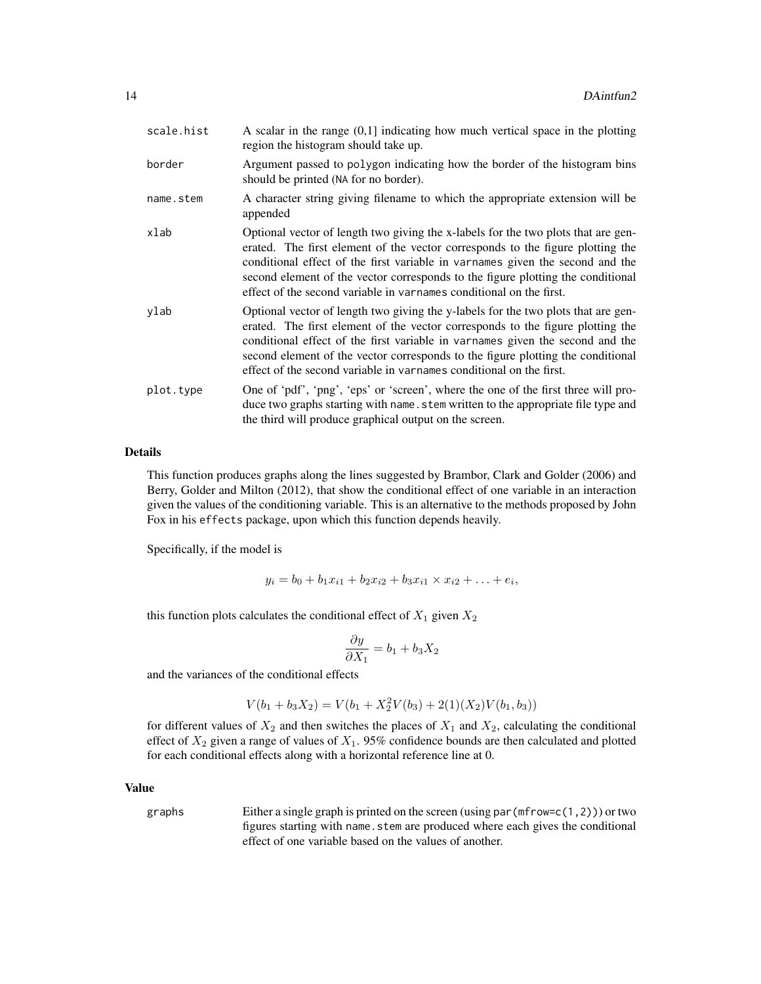| scale.hist | A scalar in the range $(0,1]$ indicating how much vertical space in the plotting<br>region the histogram should take up.                                                                                                                                                                                                                                                                                        |
|------------|-----------------------------------------------------------------------------------------------------------------------------------------------------------------------------------------------------------------------------------------------------------------------------------------------------------------------------------------------------------------------------------------------------------------|
| border     | Argument passed to polygon indicating how the border of the histogram bins<br>should be printed (NA for no border).                                                                                                                                                                                                                                                                                             |
| name.stem  | A character string giving filename to which the appropriate extension will be<br>appended                                                                                                                                                                                                                                                                                                                       |
| xlab       | Optional vector of length two giving the x-labels for the two plots that are gen-<br>erated. The first element of the vector corresponds to the figure plotting the<br>conditional effect of the first variable in variances given the second and the<br>second element of the vector corresponds to the figure plotting the conditional<br>effect of the second variable in varnames conditional on the first. |
| ylab       | Optional vector of length two giving the y-labels for the two plots that are gen-<br>erated. The first element of the vector corresponds to the figure plotting the<br>conditional effect of the first variable in varnames given the second and the<br>second element of the vector corresponds to the figure plotting the conditional<br>effect of the second variable in varnames conditional on the first.  |
| plot.type  | One of 'pdf', 'png', 'eps' or 'screen', where the one of the first three will pro-<br>duce two graphs starting with name. stem written to the appropriate file type and<br>the third will produce graphical output on the screen.                                                                                                                                                                               |

# Details

This function produces graphs along the lines suggested by Brambor, Clark and Golder (2006) and Berry, Golder and Milton (2012), that show the conditional effect of one variable in an interaction given the values of the conditioning variable. This is an alternative to the methods proposed by John Fox in his effects package, upon which this function depends heavily.

Specifically, if the model is

$$
y_i = b_0 + b_1 x_{i1} + b_2 x_{i2} + b_3 x_{i1} \times x_{i2} + \ldots + e_i,
$$

this function plots calculates the conditional effect of  $X_1$  given  $X_2$ 

$$
\frac{\partial y}{\partial X_1} = b_1 + b_3 X_2
$$

and the variances of the conditional effects

$$
V(b_1 + b_3 X_2) = V(b_1 + X_2^2 V(b_3) + 2(1)(X_2)V(b_1, b_3))
$$

for different values of  $X_2$  and then switches the places of  $X_1$  and  $X_2$ , calculating the conditional effect of  $X_2$  given a range of values of  $X_1$ . 95% confidence bounds are then calculated and plotted for each conditional effects along with a horizontal reference line at 0.

# Value

graphs Either a single graph is printed on the screen (using par(mfrow=c(1,2))) or two figures starting with name. stem are produced where each gives the conditional effect of one variable based on the values of another.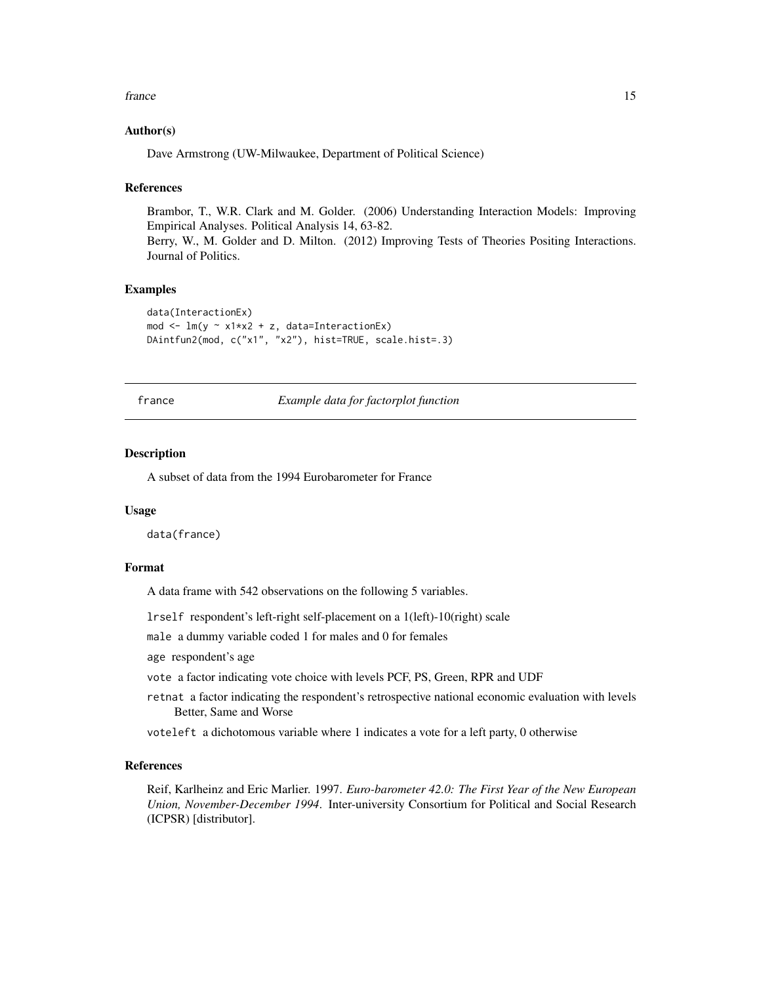#### <span id="page-14-0"></span>france that the contract of the contract of the contract of the contract of the contract of the contract of the contract of the contract of the contract of the contract of the contract of the contract of the contract of th

#### Author(s)

Dave Armstrong (UW-Milwaukee, Department of Political Science)

#### References

Brambor, T., W.R. Clark and M. Golder. (2006) Understanding Interaction Models: Improving Empirical Analyses. Political Analysis 14, 63-82. Berry, W., M. Golder and D. Milton. (2012) Improving Tests of Theories Positing Interactions.

Journal of Politics.

# Examples

```
data(InteractionEx)
mod <- lm(y ~ x1*x2 + z, data=InteractionEx)
DAintfun2(mod, c("x1", "x2"), hist=TRUE, scale.hist=.3)
```
france *Example data for factorplot function*

# **Description**

A subset of data from the 1994 Eurobarometer for France

#### Usage

data(france)

# Format

A data frame with 542 observations on the following 5 variables.

lrself respondent's left-right self-placement on a 1(left)-10(right) scale

male a dummy variable coded 1 for males and 0 for females

age respondent's age

vote a factor indicating vote choice with levels PCF, PS, Green, RPR and UDF

retnat a factor indicating the respondent's retrospective national economic evaluation with levels Better, Same and Worse

voteleft a dichotomous variable where 1 indicates a vote for a left party, 0 otherwise

# References

Reif, Karlheinz and Eric Marlier. 1997. *Euro-barometer 42.0: The First Year of the New European Union, November-December 1994*. Inter-university Consortium for Political and Social Research (ICPSR) [distributor].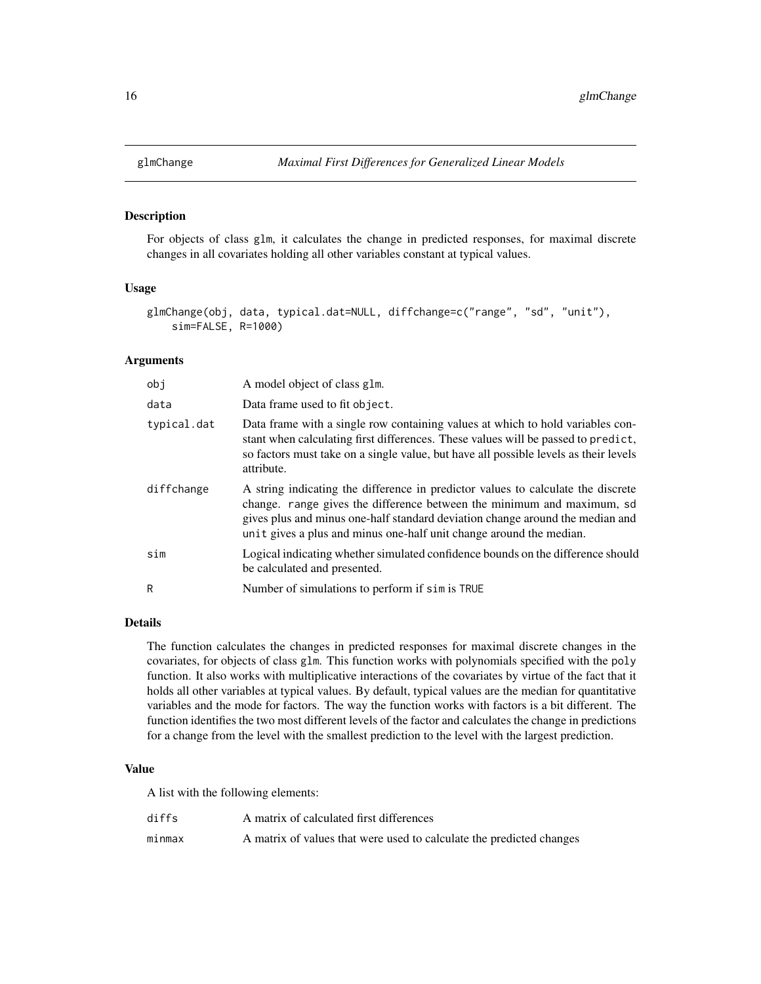<span id="page-15-0"></span>

For objects of class glm, it calculates the change in predicted responses, for maximal discrete changes in all covariates holding all other variables constant at typical values.

# Usage

```
glmChange(obj, data, typical.dat=NULL, diffchange=c("range", "sd", "unit"),
    sim=FALSE, R=1000)
```
# Arguments

| obj         | A model object of class glm.                                                                                                                                                                                                                                                                                       |
|-------------|--------------------------------------------------------------------------------------------------------------------------------------------------------------------------------------------------------------------------------------------------------------------------------------------------------------------|
| data        | Data frame used to fit object.                                                                                                                                                                                                                                                                                     |
| typical.dat | Data frame with a single row containing values at which to hold variables con-<br>stant when calculating first differences. These values will be passed to predict,<br>so factors must take on a single value, but have all possible levels as their levels<br>attribute.                                          |
| diffchange  | A string indicating the difference in predictor values to calculate the discrete<br>change. range gives the difference between the minimum and maximum, sd<br>gives plus and minus one-half standard deviation change around the median and<br>unit gives a plus and minus one-half unit change around the median. |
| sim         | Logical indicating whether simulated confidence bounds on the difference should<br>be calculated and presented.                                                                                                                                                                                                    |
| R           | Number of simulations to perform if sim is TRUE                                                                                                                                                                                                                                                                    |

#### Details

The function calculates the changes in predicted responses for maximal discrete changes in the covariates, for objects of class glm. This function works with polynomials specified with the poly function. It also works with multiplicative interactions of the covariates by virtue of the fact that it holds all other variables at typical values. By default, typical values are the median for quantitative variables and the mode for factors. The way the function works with factors is a bit different. The function identifies the two most different levels of the factor and calculates the change in predictions for a change from the level with the smallest prediction to the level with the largest prediction.

# Value

A list with the following elements:

| diffs  | A matrix of calculated first differences                             |
|--------|----------------------------------------------------------------------|
| minmax | A matrix of values that were used to calculate the predicted changes |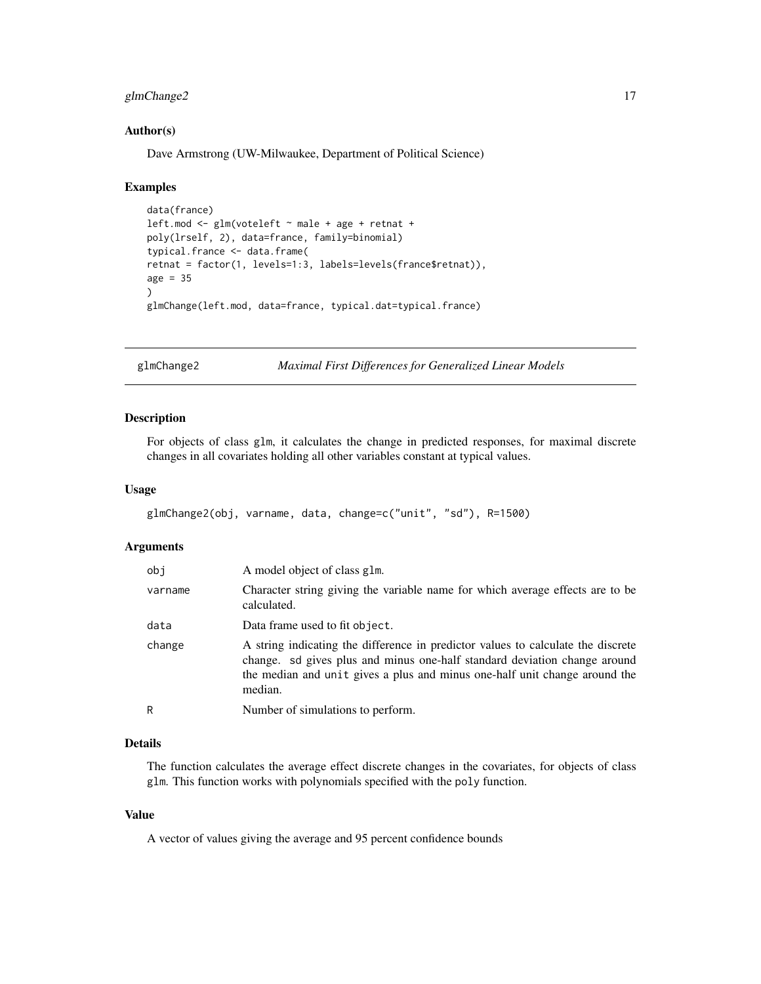# <span id="page-16-0"></span>glmChange2 17

#### Author(s)

Dave Armstrong (UW-Milwaukee, Department of Political Science)

#### Examples

```
data(france)
left.mod <- glm(voteleft ~ male + age + retnat +
poly(lrself, 2), data=france, family=binomial)
typical.france <- data.frame(
retnat = factor(1, levels=1:3, labels=levels(france$retnat)),
age = 35\lambdaglmChange(left.mod, data=france, typical.dat=typical.france)
```
glmChange2 *Maximal First Differences for Generalized Linear Models*

#### Description

For objects of class glm, it calculates the change in predicted responses, for maximal discrete changes in all covariates holding all other variables constant at typical values.

#### Usage

```
glmChange2(obj, varname, data, change=c("unit", "sd"), R=1500)
```
#### Arguments

| obj     | A model object of class glm.                                                                                                                                                                                                                           |
|---------|--------------------------------------------------------------------------------------------------------------------------------------------------------------------------------------------------------------------------------------------------------|
| varname | Character string giving the variable name for which average effects are to be<br>calculated.                                                                                                                                                           |
| data    | Data frame used to fit object.                                                                                                                                                                                                                         |
| change  | A string indicating the difference in predictor values to calculate the discrete<br>change. sd gives plus and minus one-half standard deviation change around<br>the median and unit gives a plus and minus one-half unit change around the<br>median. |
| R       | Number of simulations to perform.                                                                                                                                                                                                                      |

# Details

The function calculates the average effect discrete changes in the covariates, for objects of class glm. This function works with polynomials specified with the poly function.

# Value

A vector of values giving the average and 95 percent confidence bounds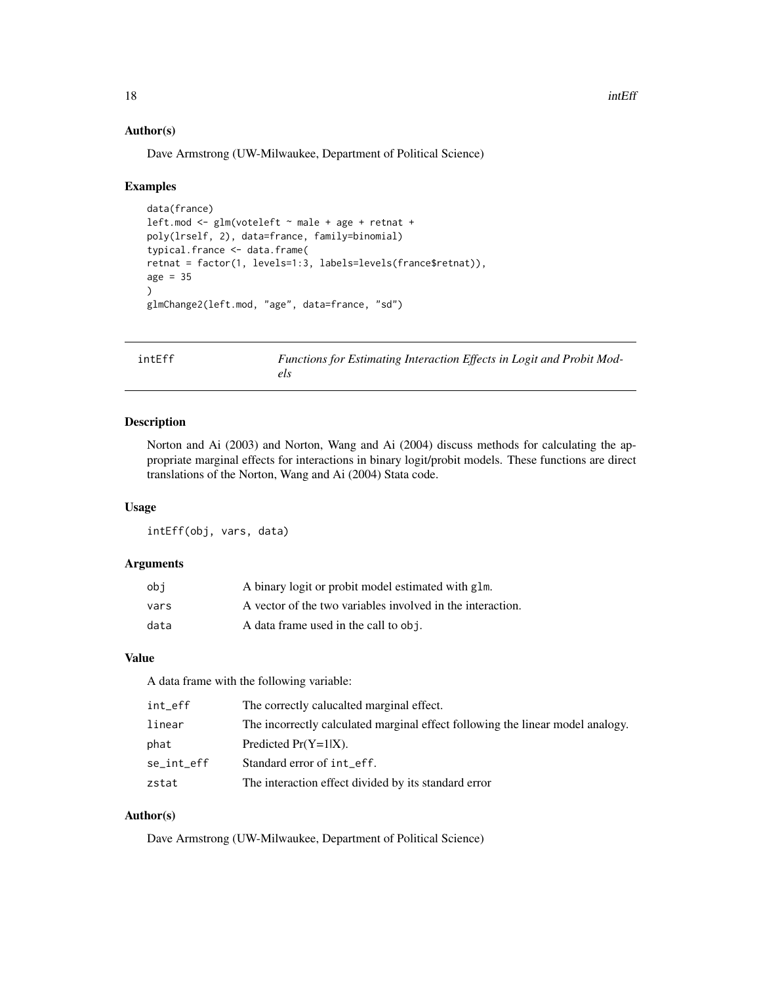#### Author(s)

Dave Armstrong (UW-Milwaukee, Department of Political Science)

#### Examples

```
data(france)
leftmod \leftarrow glm(voteleft \rightarrow male + age + retnat +poly(lrself, 2), data=france, family=binomial)
typical.france <- data.frame(
retnat = factor(1, levels=1:3, labels=levels(france$retnat)),
age = 35)
glmChange2(left.mod, "age", data=france, "sd")
```
intEff *Functions for Estimating Interaction Effects in Logit and Probit Models*

#### Description

Norton and Ai (2003) and Norton, Wang and Ai (2004) discuss methods for calculating the appropriate marginal effects for interactions in binary logit/probit models. These functions are direct translations of the Norton, Wang and Ai (2004) Stata code.

# Usage

intEff(obj, vars, data)

# Arguments

| obi  | A binary logit or probit model estimated with glm.         |
|------|------------------------------------------------------------|
| vars | A vector of the two variables involved in the interaction. |
| data | A data frame used in the call to obj.                      |

# Value

A data frame with the following variable:

| int_eff    | The correctly calucalted marginal effect.                                      |
|------------|--------------------------------------------------------------------------------|
| linear     | The incorrectly calculated marginal effect following the linear model analogy. |
| phat       | Predicted $Pr(Y=1 X)$ .                                                        |
| se_int_eff | Standard error of int_eff.                                                     |
| zstat      | The interaction effect divided by its standard error                           |

# Author(s)

Dave Armstrong (UW-Milwaukee, Department of Political Science)

<span id="page-17-0"></span>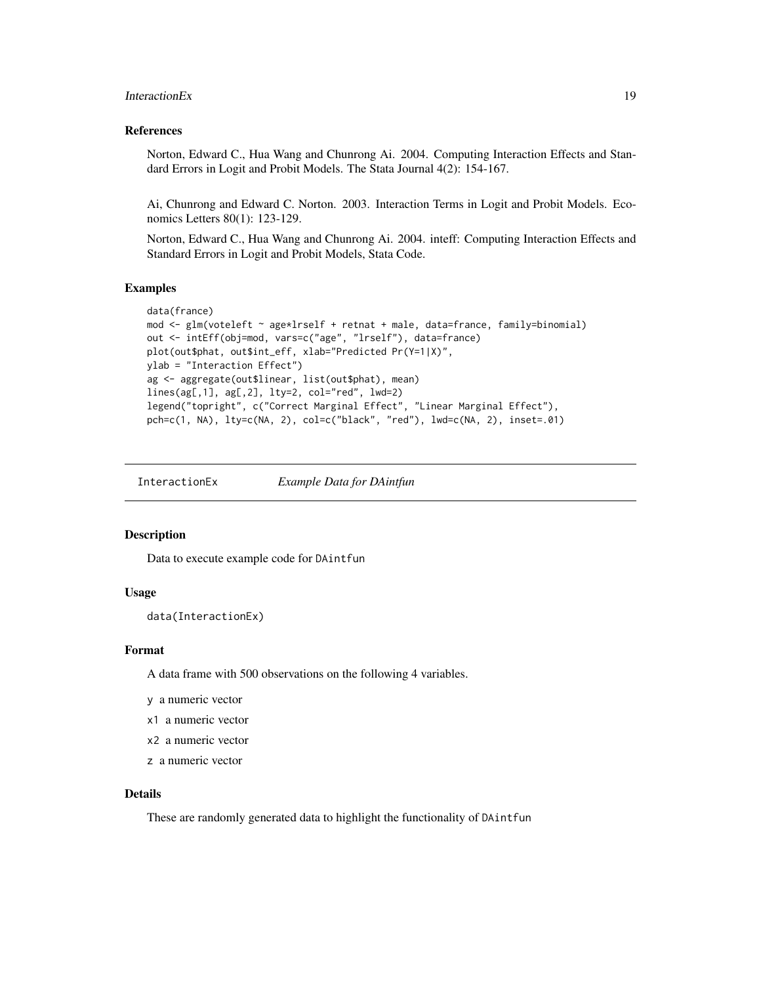#### <span id="page-18-0"></span>InteractionEx 19

#### References

Norton, Edward C., Hua Wang and Chunrong Ai. 2004. Computing Interaction Effects and Standard Errors in Logit and Probit Models. The Stata Journal 4(2): 154-167.

Ai, Chunrong and Edward C. Norton. 2003. Interaction Terms in Logit and Probit Models. Economics Letters 80(1): 123-129.

Norton, Edward C., Hua Wang and Chunrong Ai. 2004. inteff: Computing Interaction Effects and Standard Errors in Logit and Probit Models, Stata Code.

#### Examples

```
data(france)
mod \leq glm(voteleft \sim age*lrself + retnat + male, data=france, family=binomial)
out <- intEff(obj=mod, vars=c("age", "lrself"), data=france)
plot(out$phat, out$int_eff, xlab="Predicted Pr(Y=1|X)",
ylab = "Interaction Effect")
ag <- aggregate(out$linear, list(out$phat), mean)
lines(ag[,1], ag[,2], lty=2, col="red", lwd=2)
legend("topright", c("Correct Marginal Effect", "Linear Marginal Effect"),
pch=c(1, NA), lty=c(NA, 2), col=c("black", "red"), lwd=c(NA, 2), inset=.01)
```
InteractionEx *Example Data for DAintfun*

#### Description

Data to execute example code for DAintfun

#### Usage

data(InteractionEx)

# Format

A data frame with 500 observations on the following 4 variables.

y a numeric vector

- x1 a numeric vector
- x2 a numeric vector
- z a numeric vector

# Details

These are randomly generated data to highlight the functionality of DAintfun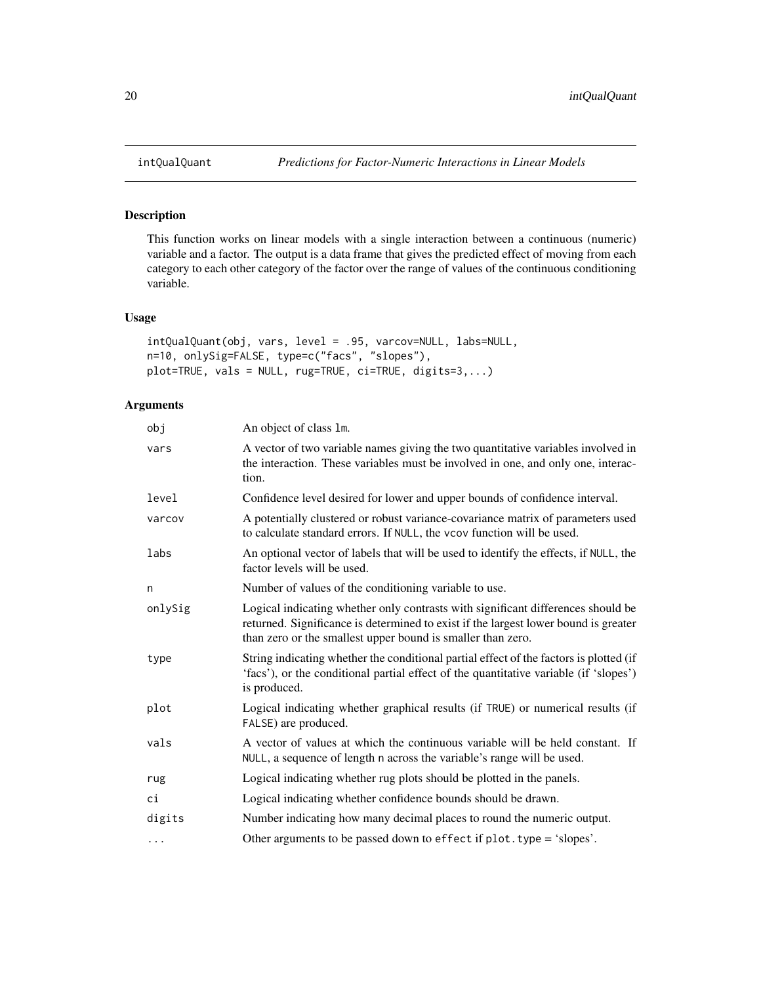This function works on linear models with a single interaction between a continuous (numeric) variable and a factor. The output is a data frame that gives the predicted effect of moving from each category to each other category of the factor over the range of values of the continuous conditioning variable.

#### Usage

```
intQualQuant(obj, vars, level = .95, varcov=NULL, labs=NULL,
n=10, onlySig=FALSE, type=c("facs", "slopes"),
plot=TRUE, vals = NULL, rug=TRUE, ci=TRUE, digits=3,...)
```
# Arguments

| obj      | An object of class 1m.                                                                                                                                                                                                                 |
|----------|----------------------------------------------------------------------------------------------------------------------------------------------------------------------------------------------------------------------------------------|
| vars     | A vector of two variable names giving the two quantitative variables involved in<br>the interaction. These variables must be involved in one, and only one, interac-<br>tion.                                                          |
| level    | Confidence level desired for lower and upper bounds of confidence interval.                                                                                                                                                            |
| varcov   | A potentially clustered or robust variance-covariance matrix of parameters used<br>to calculate standard errors. If NULL, the vcov function will be used.                                                                              |
| labs     | An optional vector of labels that will be used to identify the effects, if NULL, the<br>factor levels will be used.                                                                                                                    |
| n        | Number of values of the conditioning variable to use.                                                                                                                                                                                  |
| onlySig  | Logical indicating whether only contrasts with significant differences should be<br>returned. Significance is determined to exist if the largest lower bound is greater<br>than zero or the smallest upper bound is smaller than zero. |
| type     | String indicating whether the conditional partial effect of the factors is plotted (if<br>'facs'), or the conditional partial effect of the quantitative variable (if 'slopes')<br>is produced.                                        |
| plot     | Logical indicating whether graphical results (if TRUE) or numerical results (if<br>FALSE) are produced.                                                                                                                                |
| vals     | A vector of values at which the continuous variable will be held constant. If<br>NULL, a sequence of length n across the variable's range will be used.                                                                                |
| rug      | Logical indicating whether rug plots should be plotted in the panels.                                                                                                                                                                  |
| сi       | Logical indicating whether confidence bounds should be drawn.                                                                                                                                                                          |
| digits   | Number indicating how many decimal places to round the numeric output.                                                                                                                                                                 |
| $\cdots$ | Other arguments to be passed down to effect if plot. type = 'slopes'.                                                                                                                                                                  |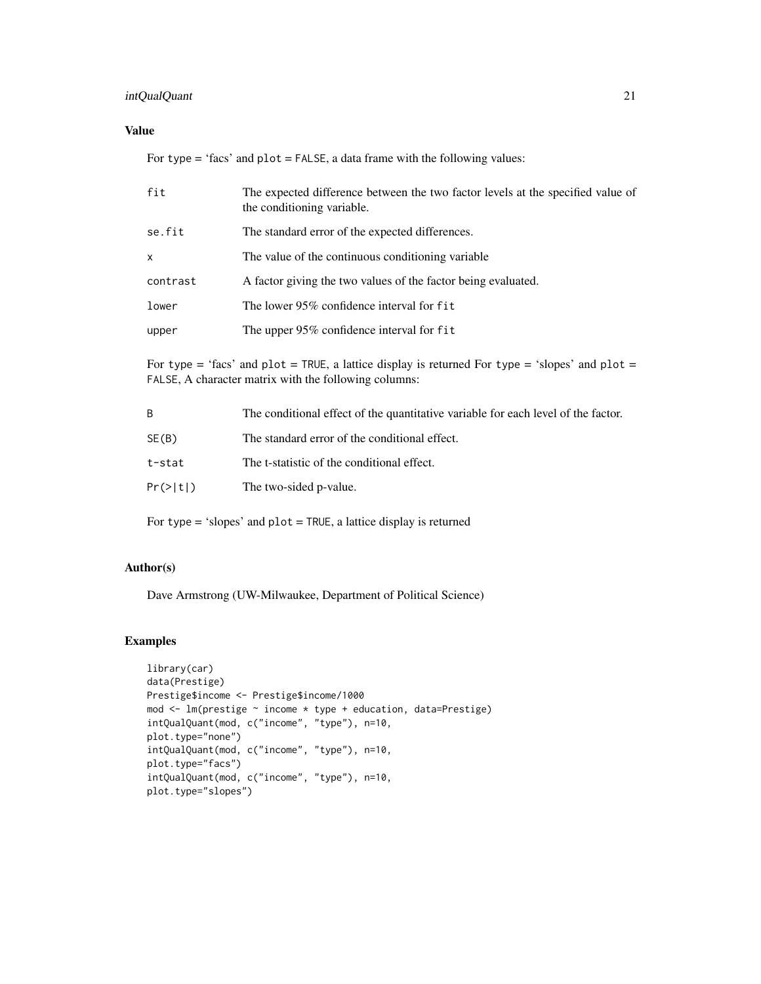# intQualQuant 21

# Value

For type = 'facs' and plot = FALSE, a data frame with the following values:

| fit      | The expected difference between the two factor levels at the specified value of<br>the conditioning variable. |
|----------|---------------------------------------------------------------------------------------------------------------|
| se.fit   | The standard error of the expected differences.                                                               |
| x        | The value of the continuous conditioning variable.                                                            |
| contrast | A factor giving the two values of the factor being evaluated.                                                 |
| lower    | The lower 95% confidence interval for fit                                                                     |
| upper    | The upper $95\%$ confidence interval for fit                                                                  |
|          |                                                                                                               |

For type = 'facs' and plot = TRUE, a lattice display is returned For type = 'slopes' and plot = FALSE, A character matrix with the following columns:

| B            | The conditional effect of the quantitative variable for each level of the factor. |
|--------------|-----------------------------------------------------------------------------------|
| SE(B)        | The standard error of the conditional effect.                                     |
| t-stat       | The t-statistic of the conditional effect.                                        |
| $Pr(\gt t )$ | The two-sided p-value.                                                            |

For type = 'slopes' and plot = TRUE, a lattice display is returned

# Author(s)

Dave Armstrong (UW-Milwaukee, Department of Political Science)

```
library(car)
data(Prestige)
Prestige$income <- Prestige$income/1000
mod <- lm(prestige ~ income * type + education, data=Prestige)
intQualQuant(mod, c("income", "type"), n=10,
plot.type="none")
intQualQuant(mod, c("income", "type"), n=10,
plot.type="facs")
intQualQuant(mod, c("income", "type"), n=10,
plot.type="slopes")
```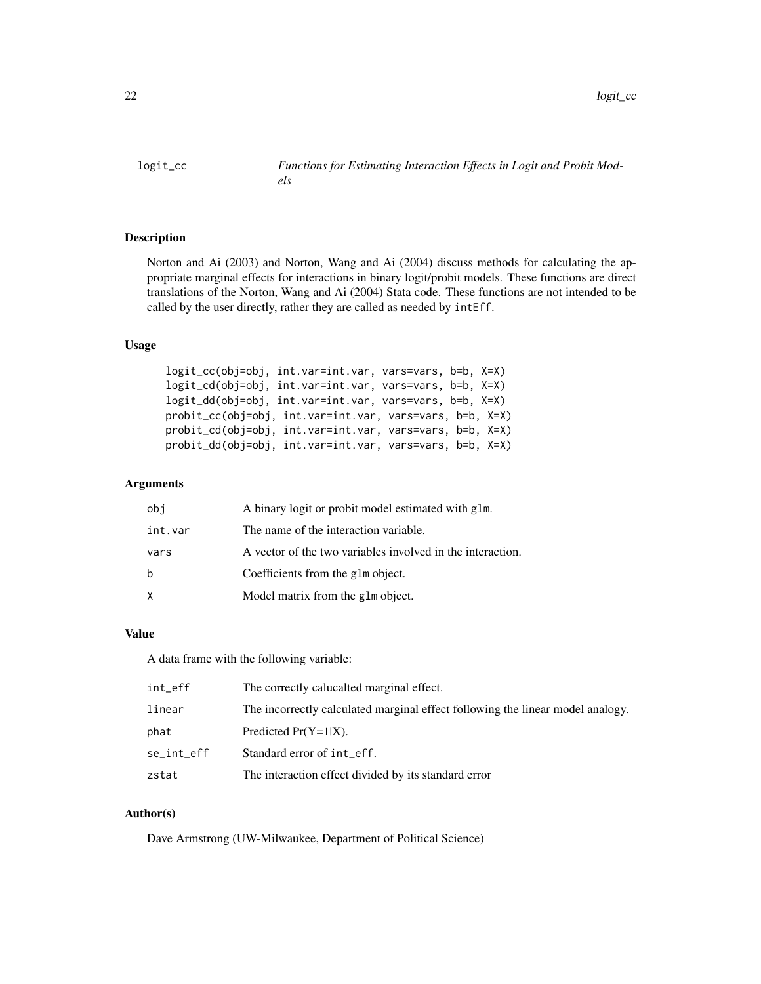<span id="page-21-0"></span>

Norton and Ai (2003) and Norton, Wang and Ai (2004) discuss methods for calculating the appropriate marginal effects for interactions in binary logit/probit models. These functions are direct translations of the Norton, Wang and Ai (2004) Stata code. These functions are not intended to be called by the user directly, rather they are called as needed by intEff.

#### Usage

```
logit_cc(obj=obj, int.var=int.var, vars=vars, b=b, X=X)
logit_cd(obj=obj, int.var=int.var, vars=vars, b=b, X=X)
logit_dd(obj=obj, int.var=int.var, vars=vars, b=b, X=X)
probit_cc(obj=obj, int.var=int.var, vars=vars, b=b, X=X)
probit_cd(obj=obj, int.var=int.var, vars=vars, b=b, X=X)
probit_dd(obj=obj, int.var=int.var, vars=vars, b=b, X=X)
```
#### Arguments

| obi     | A binary logit or probit model estimated with glm.         |
|---------|------------------------------------------------------------|
| int.var | The name of the interaction variable.                      |
| vars    | A vector of the two variables involved in the interaction. |
| b       | Coefficients from the glm object.                          |
| X       | Model matrix from the glm object.                          |

# Value

A data frame with the following variable:

| int_eff    | The correctly calucalted marginal effect.                                      |
|------------|--------------------------------------------------------------------------------|
| linear     | The incorrectly calculated marginal effect following the linear model analogy. |
| phat       | Predicted $Pr(Y=1 X)$ .                                                        |
| se_int_eff | Standard error of int_eff.                                                     |
| zstat      | The interaction effect divided by its standard error                           |

# Author(s)

Dave Armstrong (UW-Milwaukee, Department of Political Science)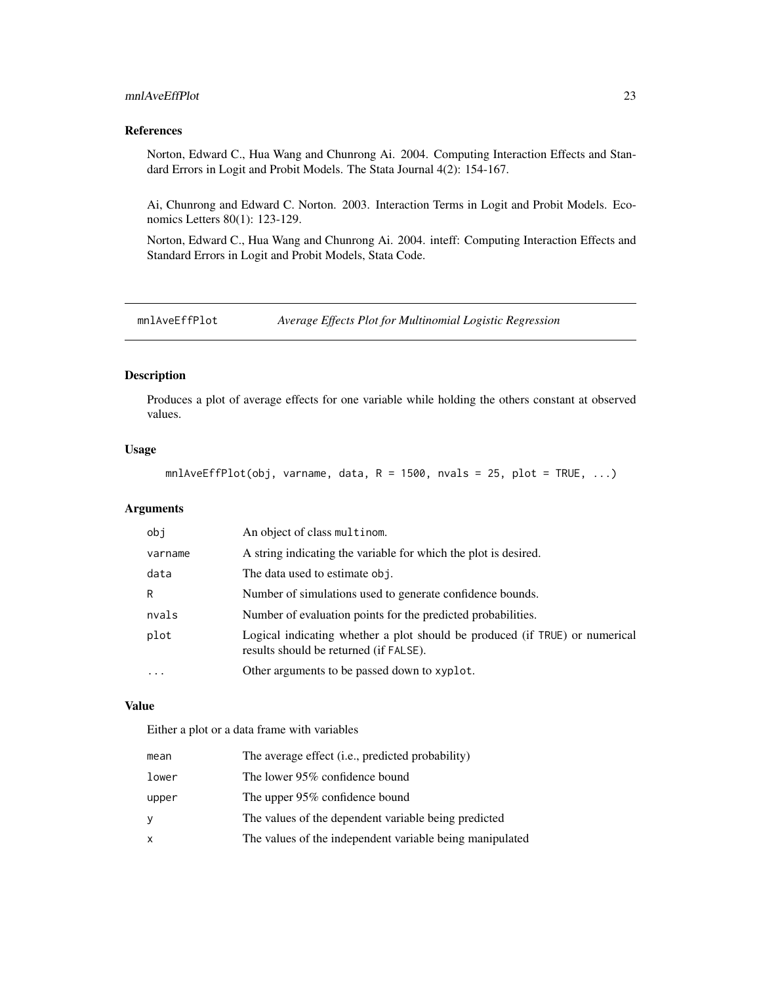# <span id="page-22-0"></span>mnlAveEffPlot 23

# References

Norton, Edward C., Hua Wang and Chunrong Ai. 2004. Computing Interaction Effects and Standard Errors in Logit and Probit Models. The Stata Journal 4(2): 154-167.

Ai, Chunrong and Edward C. Norton. 2003. Interaction Terms in Logit and Probit Models. Economics Letters 80(1): 123-129.

Norton, Edward C., Hua Wang and Chunrong Ai. 2004. inteff: Computing Interaction Effects and Standard Errors in Logit and Probit Models, Stata Code.

mnlAveEffPlot *Average Effects Plot for Multinomial Logistic Regression*

# Description

Produces a plot of average effects for one variable while holding the others constant at observed values.

# Usage

 $m$ lAveEffPlot(obj, varname, data, R = 1500, nvals = 25, plot = TRUE, ...)

#### Arguments

| obi                     | An object of class multinom.                                                                                          |
|-------------------------|-----------------------------------------------------------------------------------------------------------------------|
| varname                 | A string indicating the variable for which the plot is desired.                                                       |
| data                    | The data used to estimate obj.                                                                                        |
| R                       | Number of simulations used to generate confidence bounds.                                                             |
| nvals                   | Number of evaluation points for the predicted probabilities.                                                          |
| plot                    | Logical indicating whether a plot should be produced (if TRUE) or numerical<br>results should be returned (if FALSE). |
| $\cdot$ $\cdot$ $\cdot$ | Other arguments to be passed down to xyplot.                                                                          |
|                         |                                                                                                                       |

# Value

Either a plot or a data frame with variables

| mean  | The average effect (i.e., predicted probability)         |
|-------|----------------------------------------------------------|
| lower | The lower 95% confidence bound                           |
| upper | The upper 95% confidence bound                           |
| ٧     | The values of the dependent variable being predicted     |
| x     | The values of the independent variable being manipulated |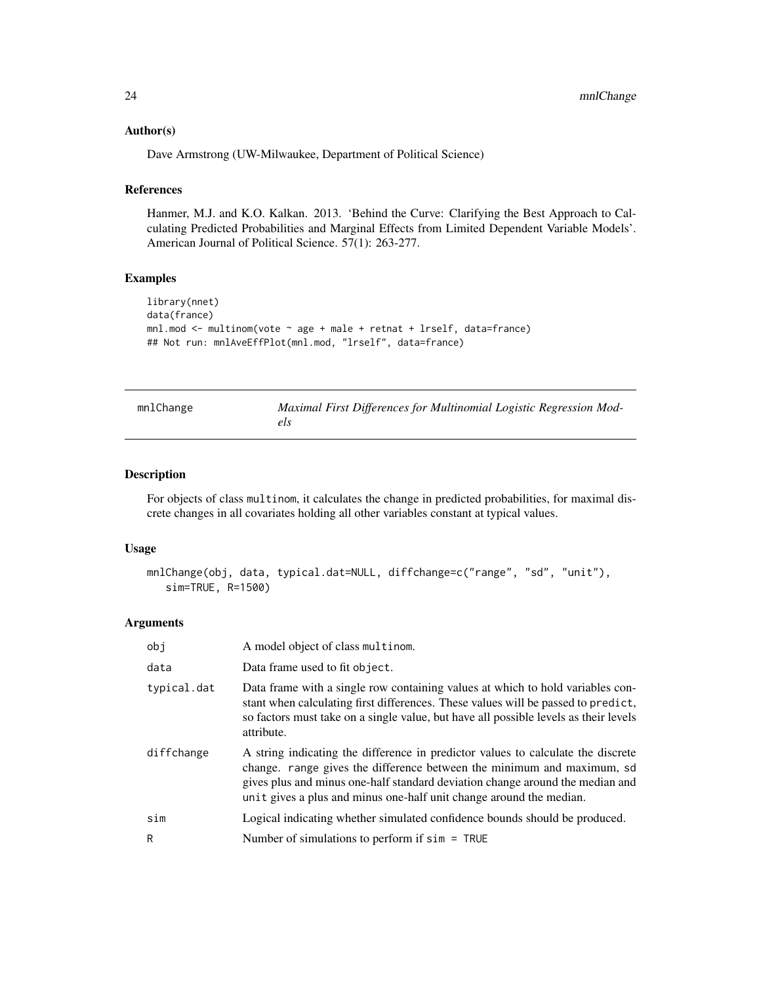#### <span id="page-23-0"></span>Author(s)

Dave Armstrong (UW-Milwaukee, Department of Political Science)

#### References

Hanmer, M.J. and K.O. Kalkan. 2013. 'Behind the Curve: Clarifying the Best Approach to Calculating Predicted Probabilities and Marginal Effects from Limited Dependent Variable Models'. American Journal of Political Science. 57(1): 263-277.

#### Examples

```
library(nnet)
data(france)
mnl.mod <- multinom(vote ~ age + male + retnat + lrself, data=france)
## Not run: mnlAveEffPlot(mnl.mod, "lrself", data=france)
```

| mnlChange | Maximal First Differences for Multinomial Logistic Regression Mod- |
|-----------|--------------------------------------------------------------------|
|           | els                                                                |

#### Description

For objects of class multinom, it calculates the change in predicted probabilities, for maximal discrete changes in all covariates holding all other variables constant at typical values.

#### Usage

```
mnlChange(obj, data, typical.dat=NULL, diffchange=c("range", "sd", "unit"),
   sim=TRUE, R=1500)
```
#### Arguments

| obj         | A model object of class multinom.                                                                                                                                                                                                                                                                                  |
|-------------|--------------------------------------------------------------------------------------------------------------------------------------------------------------------------------------------------------------------------------------------------------------------------------------------------------------------|
| data        | Data frame used to fit object.                                                                                                                                                                                                                                                                                     |
| typical.dat | Data frame with a single row containing values at which to hold variables con-<br>stant when calculating first differences. These values will be passed to predict,<br>so factors must take on a single value, but have all possible levels as their levels<br>attribute.                                          |
| diffchange  | A string indicating the difference in predictor values to calculate the discrete<br>change. range gives the difference between the minimum and maximum, sd<br>gives plus and minus one-half standard deviation change around the median and<br>unit gives a plus and minus one-half unit change around the median. |
| sim         | Logical indicating whether simulated confidence bounds should be produced.                                                                                                                                                                                                                                         |
| R           | Number of simulations to perform if $sim = TRUE$                                                                                                                                                                                                                                                                   |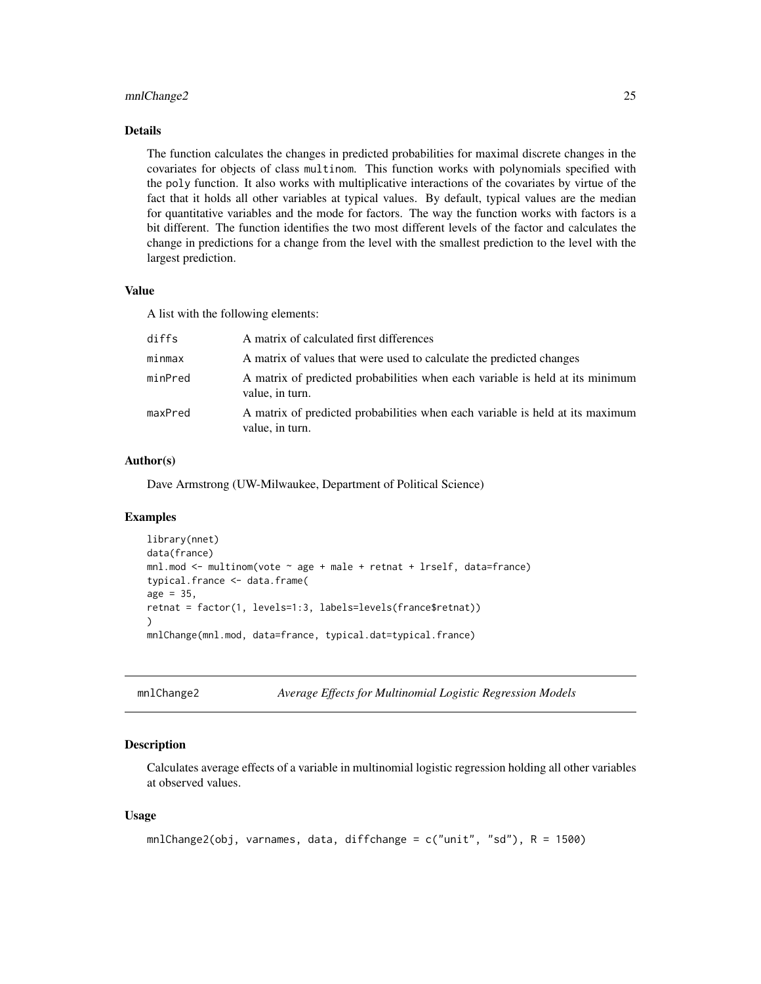#### <span id="page-24-0"></span>mnlChange2 25

# Details

The function calculates the changes in predicted probabilities for maximal discrete changes in the covariates for objects of class multinom. This function works with polynomials specified with the poly function. It also works with multiplicative interactions of the covariates by virtue of the fact that it holds all other variables at typical values. By default, typical values are the median for quantitative variables and the mode for factors. The way the function works with factors is a bit different. The function identifies the two most different levels of the factor and calculates the change in predictions for a change from the level with the smallest prediction to the level with the largest prediction.

#### Value

A list with the following elements:

| diffs   | A matrix of calculated first differences                                                         |
|---------|--------------------------------------------------------------------------------------------------|
| minmax  | A matrix of values that were used to calculate the predicted changes                             |
| minPred | A matrix of predicted probabilities when each variable is held at its minimum<br>value, in turn. |
| maxPred | A matrix of predicted probabilities when each variable is held at its maximum<br>value, in turn. |

# Author(s)

Dave Armstrong (UW-Milwaukee, Department of Political Science)

#### Examples

```
library(nnet)
data(france)
mnl(mod < - multinom(vote \sim age + male + retnat + lrself, data=france)
typical.france <- data.frame(
age = 35,
retnat = factor(1, levels=1:3, labels=levels(france$retnat))
\lambdamnlChange(mnl.mod, data=france, typical.dat=typical.france)
```
mnlChange2 *Average Effects for Multinomial Logistic Regression Models*

# Description

Calculates average effects of a variable in multinomial logistic regression holding all other variables at observed values.

```
mnlChange2(obj, varnames, data, diffchange = c("unit", "sd"), R = 1500)
```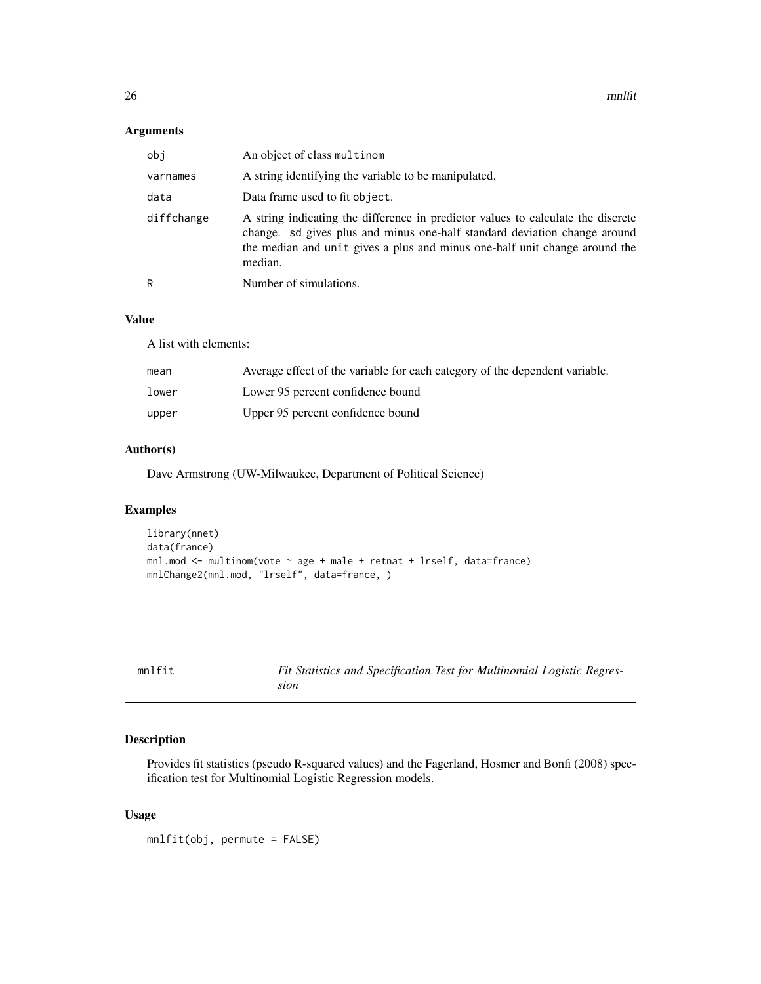# <span id="page-25-0"></span>Arguments

| obj        | An object of class multinom                                                                                                                                                                                                                            |
|------------|--------------------------------------------------------------------------------------------------------------------------------------------------------------------------------------------------------------------------------------------------------|
| varnames   | A string identifying the variable to be manipulated.                                                                                                                                                                                                   |
| data       | Data frame used to fit object.                                                                                                                                                                                                                         |
| diffchange | A string indicating the difference in predictor values to calculate the discrete<br>change. sd gives plus and minus one-half standard deviation change around<br>the median and unit gives a plus and minus one-half unit change around the<br>median. |
| R          | Number of simulations.                                                                                                                                                                                                                                 |

#### Value

A list with elements:

| mean  | Average effect of the variable for each category of the dependent variable. |
|-------|-----------------------------------------------------------------------------|
| lower | Lower 95 percent confidence bound                                           |
| upper | Upper 95 percent confidence bound                                           |

# Author(s)

Dave Armstrong (UW-Milwaukee, Department of Political Science)

# Examples

```
library(nnet)
data(france)
mnl.mod <- multinom(vote ~ age + male + retnat + lrself, data=france)
mnlChange2(mnl.mod, "lrself", data=france, )
```
mnlfit *Fit Statistics and Specification Test for Multinomial Logistic Regression*

# Description

Provides fit statistics (pseudo R-squared values) and the Fagerland, Hosmer and Bonfi (2008) specification test for Multinomial Logistic Regression models.

# Usage

mnlfit(obj, permute = FALSE)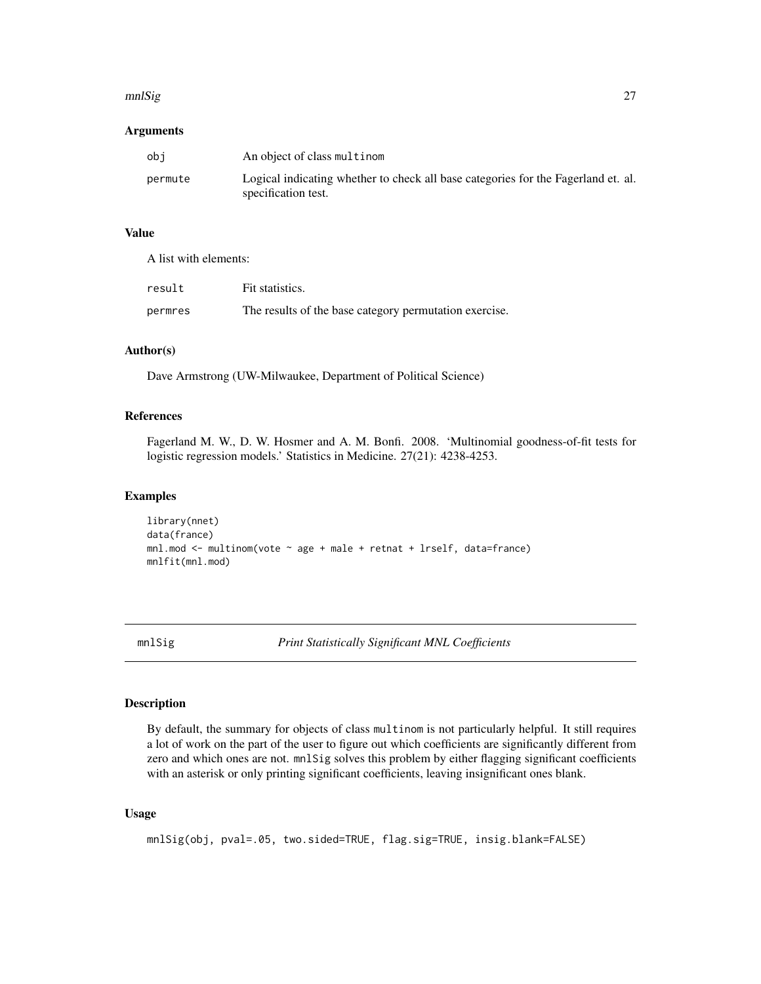#### <span id="page-26-0"></span>mnlSig 27

#### Arguments

| obi     | An object of class multinom                                                                              |
|---------|----------------------------------------------------------------------------------------------------------|
| permute | Logical indicating whether to check all base categories for the Fagerland et. al.<br>specification test. |

# Value

A list with elements:

| result  | Fit statistics.                                        |
|---------|--------------------------------------------------------|
| permres | The results of the base category permutation exercise. |

#### Author(s)

Dave Armstrong (UW-Milwaukee, Department of Political Science)

# References

Fagerland M. W., D. W. Hosmer and A. M. Bonfi. 2008. 'Multinomial goodness-of-fit tests for logistic regression models.' Statistics in Medicine. 27(21): 4238-4253.

#### Examples

```
library(nnet)
data(france)
mnl.mod <- multinom(vote \sim age + male + retnat + lrself, data=france)
mnlfit(mnl.mod)
```
mnlSig *Print Statistically Significant MNL Coefficients*

# Description

By default, the summary for objects of class multinom is not particularly helpful. It still requires a lot of work on the part of the user to figure out which coefficients are significantly different from zero and which ones are not. mnlSig solves this problem by either flagging significant coefficients with an asterisk or only printing significant coefficients, leaving insignificant ones blank.

```
mnlSig(obj, pval=.05, two.sided=TRUE, flag.sig=TRUE, insig.blank=FALSE)
```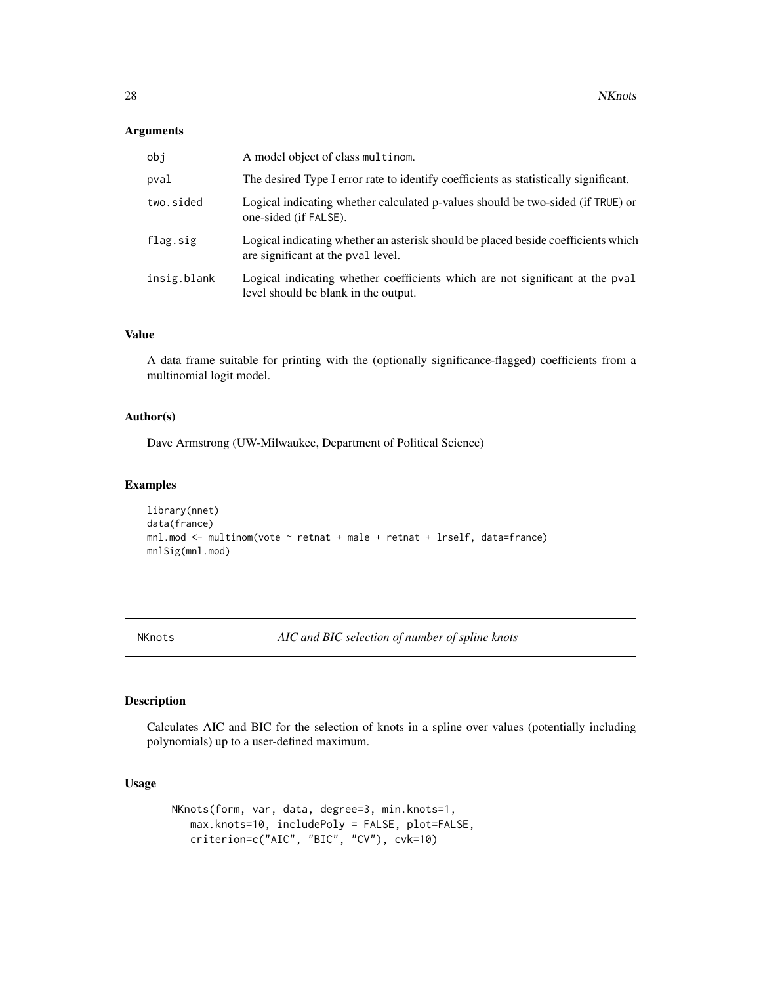#### <span id="page-27-0"></span>Arguments

| obj         | A model object of class multinom.                                                                                       |
|-------------|-------------------------------------------------------------------------------------------------------------------------|
| pval        | The desired Type I error rate to identify coefficients as statistically significant.                                    |
| two.sided   | Logical indicating whether calculated p-values should be two-sided (if TRUE) or<br>one-sided (if FALSE).                |
| flag.sig    | Logical indicating whether an asterisk should be placed beside coefficients which<br>are significant at the pval level. |
| insig.blank | Logical indicating whether coefficients which are not significant at the pval<br>level should be blank in the output.   |

# Value

A data frame suitable for printing with the (optionally significance-flagged) coefficients from a multinomial logit model.

# Author(s)

Dave Armstrong (UW-Milwaukee, Department of Political Science)

# Examples

```
library(nnet)
data(france)
mnl.mod <- multinom(vote ~ retnat + male + retnat + lrself, data=france)
mnlSig(mnl.mod)
```
NKnots *AIC and BIC selection of number of spline knots*

# Description

Calculates AIC and BIC for the selection of knots in a spline over values (potentially including polynomials) up to a user-defined maximum.

```
NKnots(form, var, data, degree=3, min.knots=1,
  max.knots=10, includePoly = FALSE, plot=FALSE,
  criterion=c("AIC", "BIC", "CV"), cvk=10)
```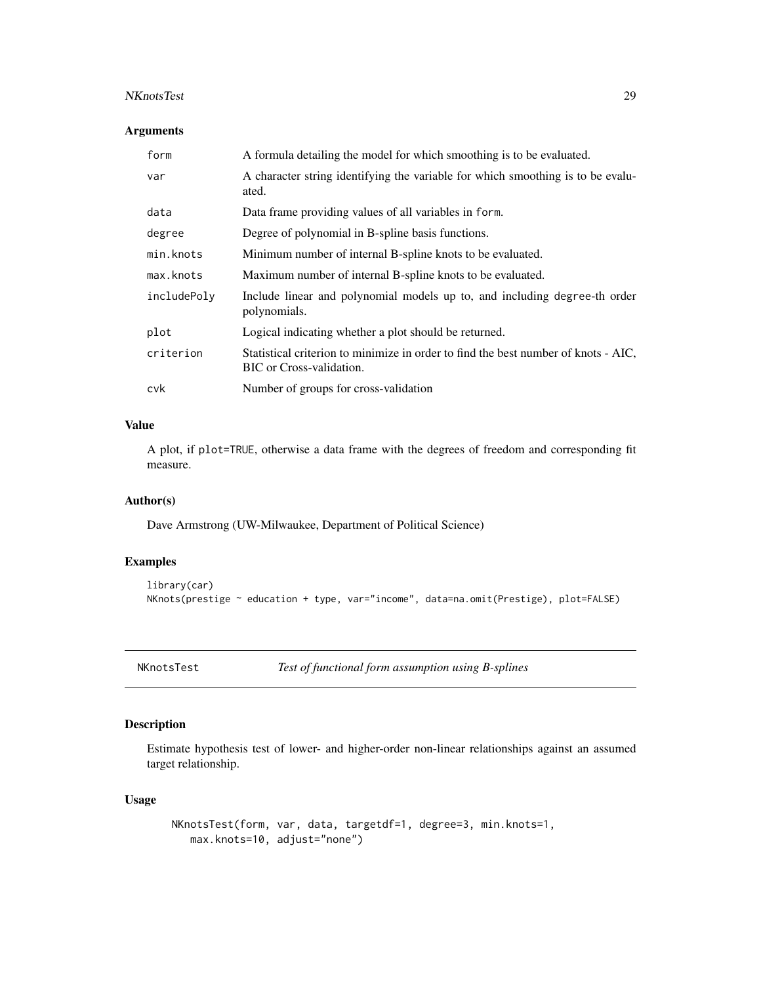#### <span id="page-28-0"></span>NKnotsTest 29

# Arguments

| form        | A formula detailing the model for which smoothing is to be evaluated.                                          |  |
|-------------|----------------------------------------------------------------------------------------------------------------|--|
| var         | A character string identifying the variable for which smoothing is to be evalu-<br>ated.                       |  |
| data        | Data frame providing values of all variables in form.                                                          |  |
| degree      | Degree of polynomial in B-spline basis functions.                                                              |  |
| min.knots   | Minimum number of internal B-spline knots to be evaluated.                                                     |  |
| max.knots   | Maximum number of internal B-spline knots to be evaluated.                                                     |  |
| includePoly | Include linear and polynomial models up to, and including degree-th order<br>polynomials.                      |  |
| plot        | Logical indicating whether a plot should be returned.                                                          |  |
| criterion   | Statistical criterion to minimize in order to find the best number of knots - AIC,<br>BIC or Cross-validation. |  |
| cvk         | Number of groups for cross-validation                                                                          |  |

# Value

A plot, if plot=TRUE, otherwise a data frame with the degrees of freedom and corresponding fit measure.

#### Author(s)

Dave Armstrong (UW-Milwaukee, Department of Political Science)

# Examples

```
library(car)
NKnots(prestige ~ education + type, var="income", data=na.omit(Prestige), plot=FALSE)
```
NKnotsTest *Test of functional form assumption using B-splines*

# Description

Estimate hypothesis test of lower- and higher-order non-linear relationships against an assumed target relationship.

```
NKnotsTest(form, var, data, targetdf=1, degree=3, min.knots=1,
   max.knots=10, adjust="none")
```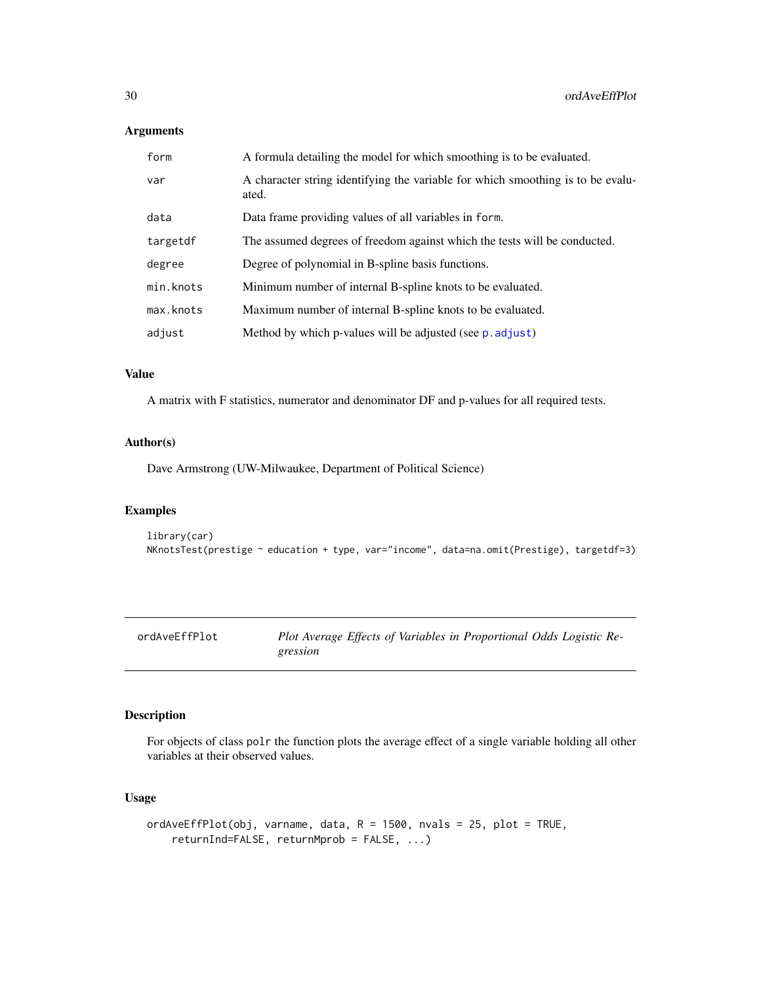# <span id="page-29-0"></span>Arguments

| form      | A formula detailing the model for which smoothing is to be evaluated.                    |  |
|-----------|------------------------------------------------------------------------------------------|--|
| var       | A character string identifying the variable for which smoothing is to be evalu-<br>ated. |  |
| data      | Data frame providing values of all variables in form.                                    |  |
| targetdf  | The assumed degrees of freedom against which the tests will be conducted.                |  |
| degree    | Degree of polynomial in B-spline basis functions.                                        |  |
| min.knots | Minimum number of internal B-spline knots to be evaluated.                               |  |
| max.knots | Maximum number of internal B-spline knots to be evaluated.                               |  |
| adjust    | Method by which p-values will be adjusted (see p. adjust)                                |  |

#### Value

A matrix with F statistics, numerator and denominator DF and p-values for all required tests.

#### Author(s)

Dave Armstrong (UW-Milwaukee, Department of Political Science)

# Examples

```
library(car)
NKnotsTest(prestige ~ education + type, var="income", data=na.omit(Prestige), targetdf=3)
```
ordAveEffPlot *Plot Average Effects of Variables in Proportional Odds Logistic Regression*

# Description

For objects of class polr the function plots the average effect of a single variable holding all other variables at their observed values.

```
ordAveEffPlot(obj, varname, data, R = 1500, nvals = 25, plot = TRUE,
    returnInd=FALSE, returnMprob = FALSE, ...)
```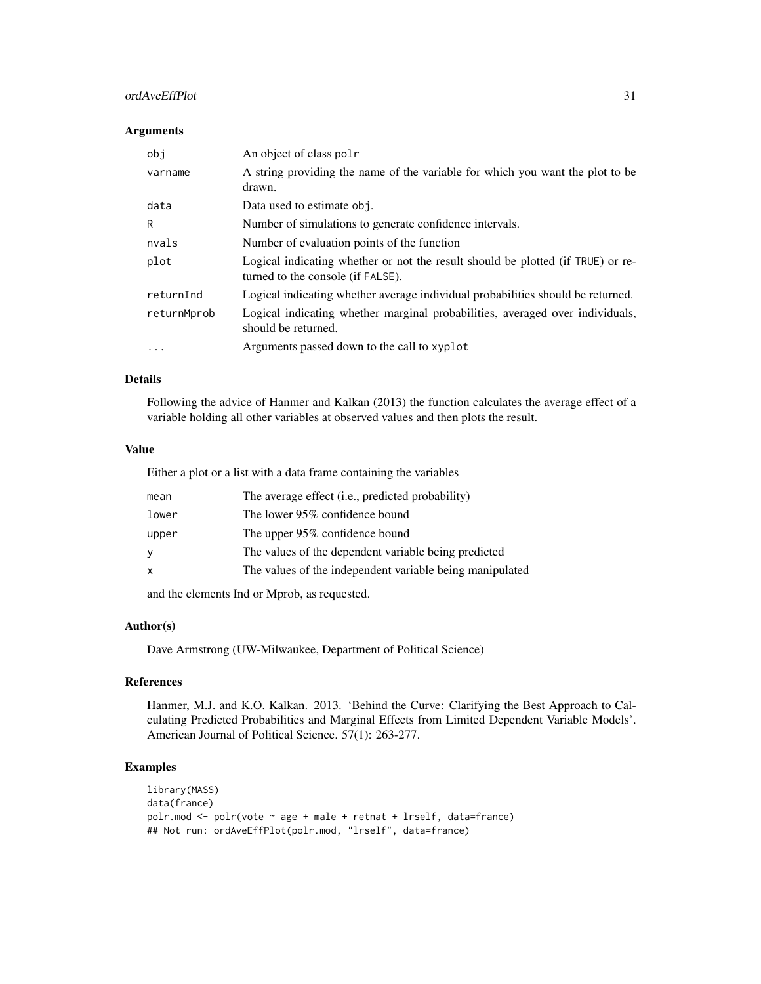# ordAveEffPlot 31

#### Arguments

| obi         | An object of class polr                                                                                              |
|-------------|----------------------------------------------------------------------------------------------------------------------|
| varname     | A string providing the name of the variable for which you want the plot to be<br>drawn.                              |
| data        | Data used to estimate obj.                                                                                           |
| R           | Number of simulations to generate confidence intervals.                                                              |
| nvals       | Number of evaluation points of the function                                                                          |
| plot        | Logical indicating whether or not the result should be plotted (if TRUE) or re-<br>turned to the console (if FALSE). |
| returnInd   | Logical indicating whether average individual probabilities should be returned.                                      |
| returnMprob | Logical indicating whether marginal probabilities, averaged over individuals,<br>should be returned.                 |
| $\cdots$    | Arguments passed down to the call to xyplot                                                                          |

# Details

Following the advice of Hanmer and Kalkan (2013) the function calculates the average effect of a variable holding all other variables at observed values and then plots the result.

# Value

Either a plot or a list with a data frame containing the variables

| mean  | The average effect (i.e., predicted probability)         |  |
|-------|----------------------------------------------------------|--|
| lower | The lower 95% confidence bound                           |  |
| upper | The upper 95% confidence bound                           |  |
| У     | The values of the dependent variable being predicted     |  |
| x     | The values of the independent variable being manipulated |  |
|       |                                                          |  |

and the elements Ind or Mprob, as requested.

# Author(s)

Dave Armstrong (UW-Milwaukee, Department of Political Science)

# References

Hanmer, M.J. and K.O. Kalkan. 2013. 'Behind the Curve: Clarifying the Best Approach to Calculating Predicted Probabilities and Marginal Effects from Limited Dependent Variable Models'. American Journal of Political Science. 57(1): 263-277.

```
library(MASS)
data(france)
polr.mod <- polr(vote ~ age + male + retnat + lrself, data=france)
## Not run: ordAveEffPlot(polr.mod, "lrself", data=france)
```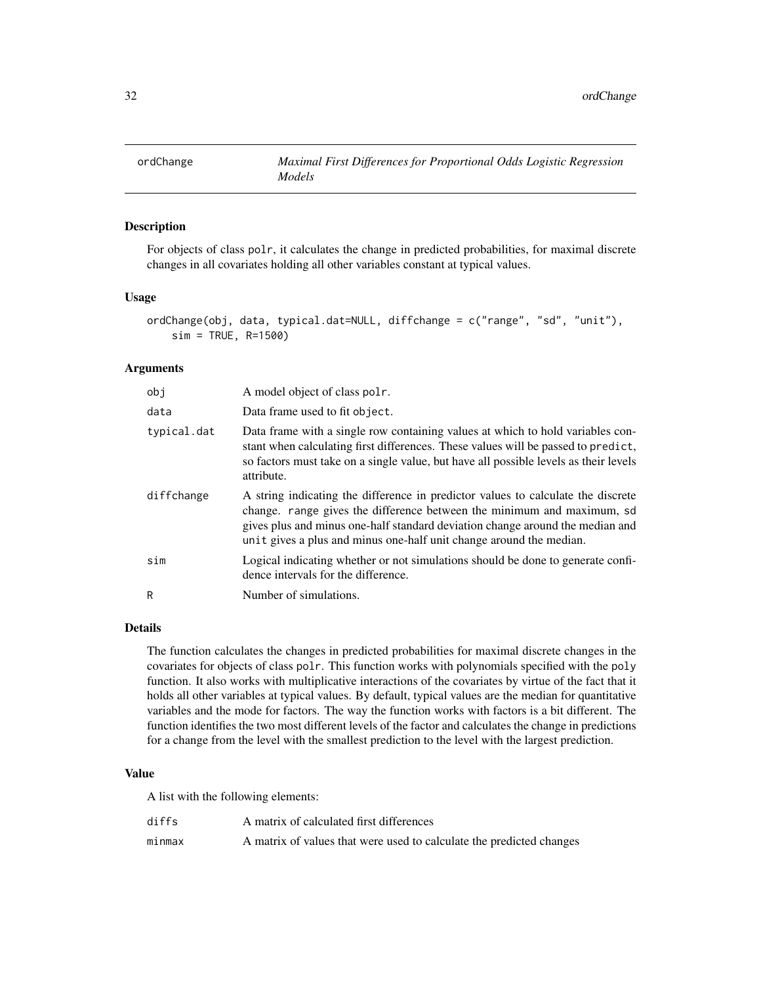<span id="page-31-0"></span>

For objects of class polr, it calculates the change in predicted probabilities, for maximal discrete changes in all covariates holding all other variables constant at typical values.

#### Usage

```
ordChange(obj, data, typical.dat=NULL, diffchange = c("range", "sd", "unit"),
    sim = TRUE, R=1500)
```
# Arguments

| obi         | A model object of class polr.                                                                                                                                                                                                                                                                                      |
|-------------|--------------------------------------------------------------------------------------------------------------------------------------------------------------------------------------------------------------------------------------------------------------------------------------------------------------------|
| data        | Data frame used to fit object.                                                                                                                                                                                                                                                                                     |
| typical.dat | Data frame with a single row containing values at which to hold variables con-<br>stant when calculating first differences. These values will be passed to predict,<br>so factors must take on a single value, but have all possible levels as their levels<br>attribute.                                          |
| diffchange  | A string indicating the difference in predictor values to calculate the discrete<br>change. range gives the difference between the minimum and maximum, sd<br>gives plus and minus one-half standard deviation change around the median and<br>unit gives a plus and minus one-half unit change around the median. |
| sim         | Logical indicating whether or not simulations should be done to generate confi-<br>dence intervals for the difference.                                                                                                                                                                                             |
| R           | Number of simulations.                                                                                                                                                                                                                                                                                             |

# Details

The function calculates the changes in predicted probabilities for maximal discrete changes in the covariates for objects of class polr. This function works with polynomials specified with the poly function. It also works with multiplicative interactions of the covariates by virtue of the fact that it holds all other variables at typical values. By default, typical values are the median for quantitative variables and the mode for factors. The way the function works with factors is a bit different. The function identifies the two most different levels of the factor and calculates the change in predictions for a change from the level with the smallest prediction to the level with the largest prediction.

# Value

A list with the following elements:

| diffs  | A matrix of calculated first differences                             |
|--------|----------------------------------------------------------------------|
| minmax | A matrix of values that were used to calculate the predicted changes |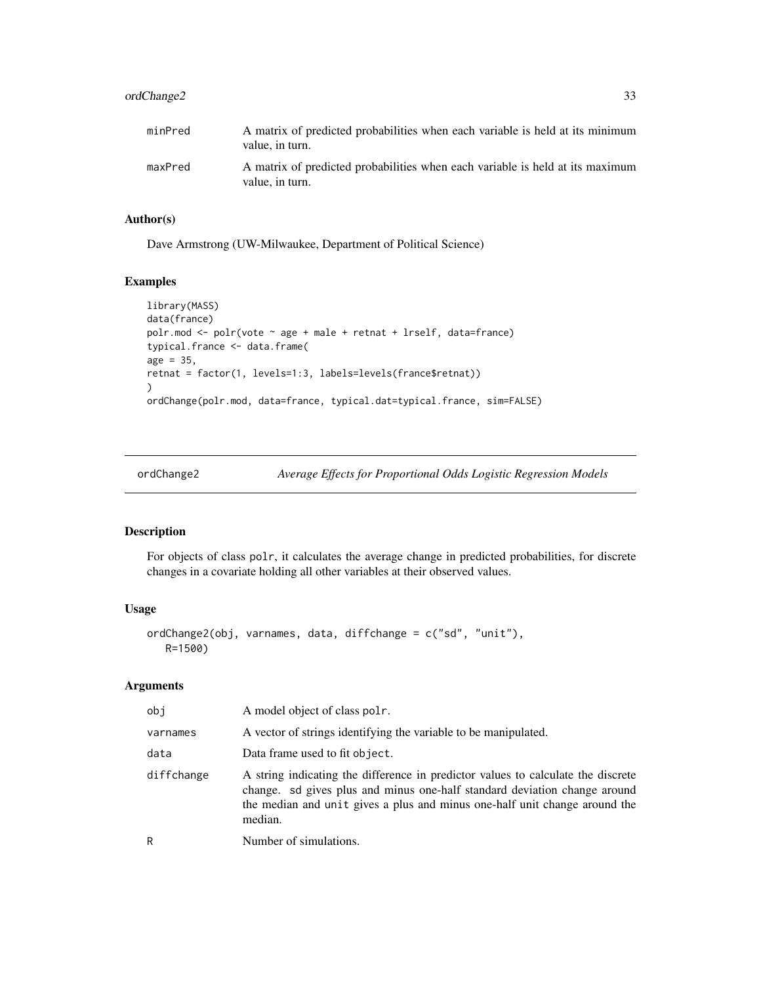# <span id="page-32-0"></span>ordChange2 33

| minPred | A matrix of predicted probabilities when each variable is held at its minimum<br>value, in turn. |
|---------|--------------------------------------------------------------------------------------------------|
| maxPred | A matrix of predicted probabilities when each variable is held at its maximum<br>value, in turn. |

# Author(s)

Dave Armstrong (UW-Milwaukee, Department of Political Science)

# Examples

```
library(MASS)
data(france)
polr.mod <- polr(vote ~ age + male + retnat + lrself, data=france)
typical.france <- data.frame(
age = 35,retnat = factor(1, levels=1:3, labels=levels(france$retnat))
\lambdaordChange(polr.mod, data=france, typical.dat=typical.france, sim=FALSE)
```

| ordChange2 |  |
|------------|--|
|------------|--|

ge2 *Average Effects for Proportional Odds Logistic Regression Models* 

# Description

For objects of class polr, it calculates the average change in predicted probabilities, for discrete changes in a covariate holding all other variables at their observed values.

# Usage

```
ordChange2(obj, varnames, data, diffchange = c("sd", "unit"),
  R=1500)
```
#### Arguments

| obi        | A model object of class pole.                                                                                                                                                                                                                          |
|------------|--------------------------------------------------------------------------------------------------------------------------------------------------------------------------------------------------------------------------------------------------------|
| varnames   | A vector of strings identifying the variable to be manipulated.                                                                                                                                                                                        |
| data       | Data frame used to fit object.                                                                                                                                                                                                                         |
| diffchange | A string indicating the difference in predictor values to calculate the discrete<br>change. sd gives plus and minus one-half standard deviation change around<br>the median and unit gives a plus and minus one-half unit change around the<br>median. |
| R          | Number of simulations.                                                                                                                                                                                                                                 |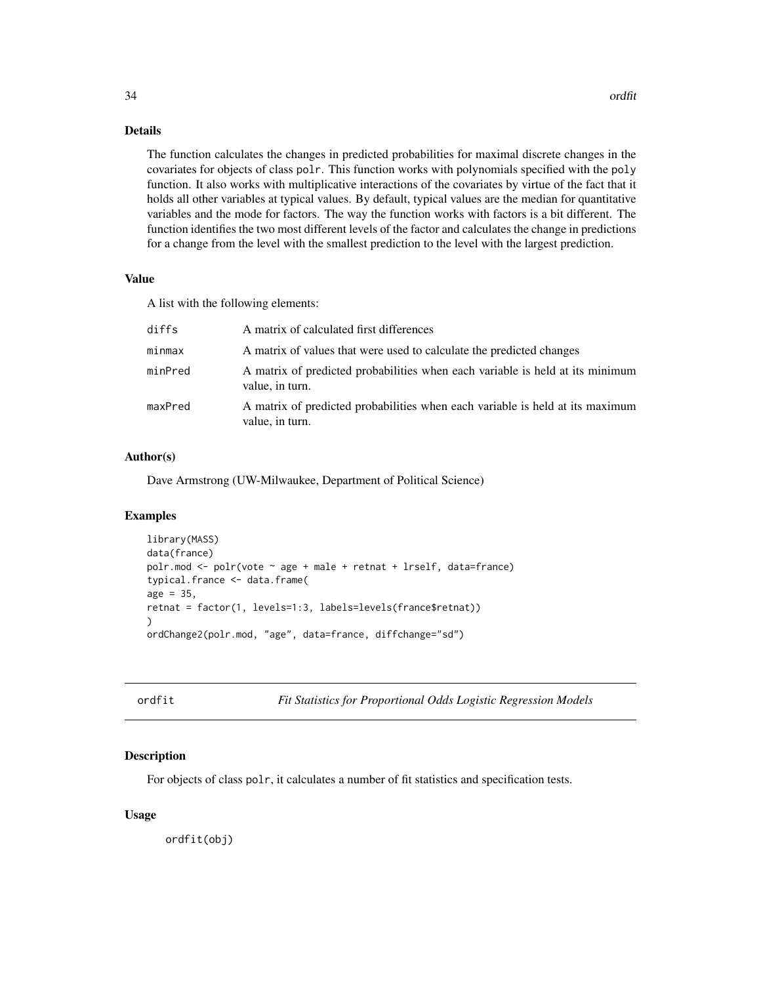# <span id="page-33-0"></span>Details

The function calculates the changes in predicted probabilities for maximal discrete changes in the covariates for objects of class polr. This function works with polynomials specified with the poly function. It also works with multiplicative interactions of the covariates by virtue of the fact that it holds all other variables at typical values. By default, typical values are the median for quantitative variables and the mode for factors. The way the function works with factors is a bit different. The function identifies the two most different levels of the factor and calculates the change in predictions for a change from the level with the smallest prediction to the level with the largest prediction.

# Value

A list with the following elements:

| diffs   | A matrix of calculated first differences                                                         |
|---------|--------------------------------------------------------------------------------------------------|
| minmax  | A matrix of values that were used to calculate the predicted changes                             |
| minPred | A matrix of predicted probabilities when each variable is held at its minimum<br>value, in turn. |
| maxPred | A matrix of predicted probabilities when each variable is held at its maximum<br>value, in turn. |

# Author(s)

Dave Armstrong (UW-Milwaukee, Department of Political Science)

#### Examples

```
library(MASS)
data(france)
polr.mod <- polr(vote ~ age + male + retnat + lrself, data=france)
typical.france <- data.frame(
age = 35,
retnat = factor(1, levels=1:3, labels=levels(france$retnat))
\lambdaordChange2(polr.mod, "age", data=france, diffchange="sd")
```

| )r | dt. |  |
|----|-----|--|
|    |     |  |

**Fit Statistics for Proportional Odds Logistic Regression Models** 

#### Description

For objects of class polr, it calculates a number of fit statistics and specification tests.

#### Usage

ordfit(obj)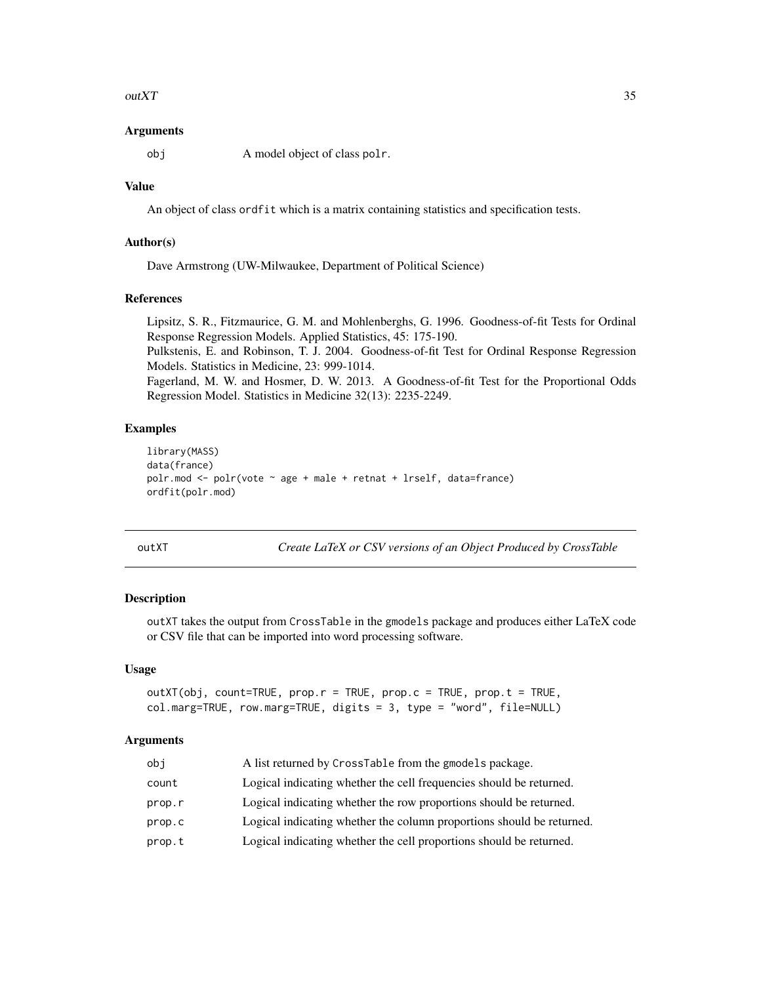#### <span id="page-34-0"></span> $outXT$  35

#### Arguments

obj A model object of class polr.

# Value

An object of class ordfit which is a matrix containing statistics and specification tests.

# Author(s)

Dave Armstrong (UW-Milwaukee, Department of Political Science)

#### References

Lipsitz, S. R., Fitzmaurice, G. M. and Mohlenberghs, G. 1996. Goodness-of-fit Tests for Ordinal Response Regression Models. Applied Statistics, 45: 175-190.

Pulkstenis, E. and Robinson, T. J. 2004. Goodness-of-fit Test for Ordinal Response Regression Models. Statistics in Medicine, 23: 999-1014.

Fagerland, M. W. and Hosmer, D. W. 2013. A Goodness-of-fit Test for the Proportional Odds Regression Model. Statistics in Medicine 32(13): 2235-2249.

# Examples

```
library(MASS)
data(france)
polr.mod \leq polr(vote \sim age + male + retnat + lrself, data=france)
ordfit(polr.mod)
```
outXT *Create LaTeX or CSV versions of an Object Produced by CrossTable*

#### Description

outXT takes the output from CrossTable in the gmodels package and produces either LaTeX code or CSV file that can be imported into word processing software.

# Usage

```
outXT(obj, count=TRUE, prop.r = TRUE, prop.c = TRUE, prop.t = TRUE,
col.marg=TRUE, row.marg=TRUE, digits = 3, type = "word", file=NULL)
```
#### Arguments

| obj    | A list returned by CrossTable from the gmodels package.               |
|--------|-----------------------------------------------------------------------|
| count  | Logical indicating whether the cell frequencies should be returned.   |
| prop.r | Logical indicating whether the row proportions should be returned.    |
| prop.c | Logical indicating whether the column proportions should be returned. |
| prop.t | Logical indicating whether the cell proportions should be returned.   |
|        |                                                                       |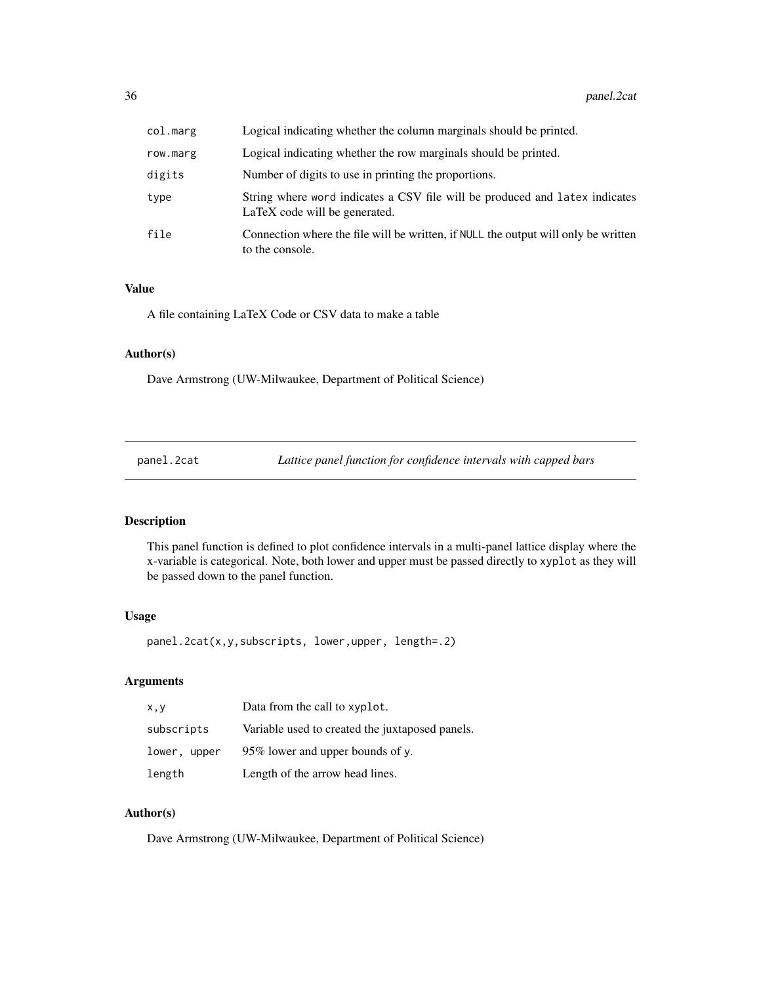<span id="page-35-0"></span>

| col.marg | Logical indicating whether the column marginals should be printed.                                           |
|----------|--------------------------------------------------------------------------------------------------------------|
| row.marg | Logical indicating whether the row marginals should be printed.                                              |
| digits   | Number of digits to use in printing the proportions.                                                         |
| type     | String where word indicates a CSV file will be produced and latex indicates<br>LaTeX code will be generated. |
| file     | Connection where the file will be written, if NULL the output will only be written<br>to the console.        |

# Value

A file containing LaTeX Code or CSV data to make a table

#### Author(s)

Dave Armstrong (UW-Milwaukee, Department of Political Science)

panel.2cat *Lattice panel function for confidence intervals with capped bars*

# Description

This panel function is defined to plot confidence intervals in a multi-panel lattice display where the x-variable is categorical. Note, both lower and upper must be passed directly to xyplot as they will be passed down to the panel function.

#### Usage

panel.2cat(x,y,subscripts, lower,upper, length=.2)

# Arguments

| x, y         | Data from the call to xyplot.                   |
|--------------|-------------------------------------------------|
| subscripts   | Variable used to created the juxtaposed panels. |
| lower, upper | 95% lower and upper bounds of y.                |
| length       | Length of the arrow head lines.                 |

# Author(s)

Dave Armstrong (UW-Milwaukee, Department of Political Science)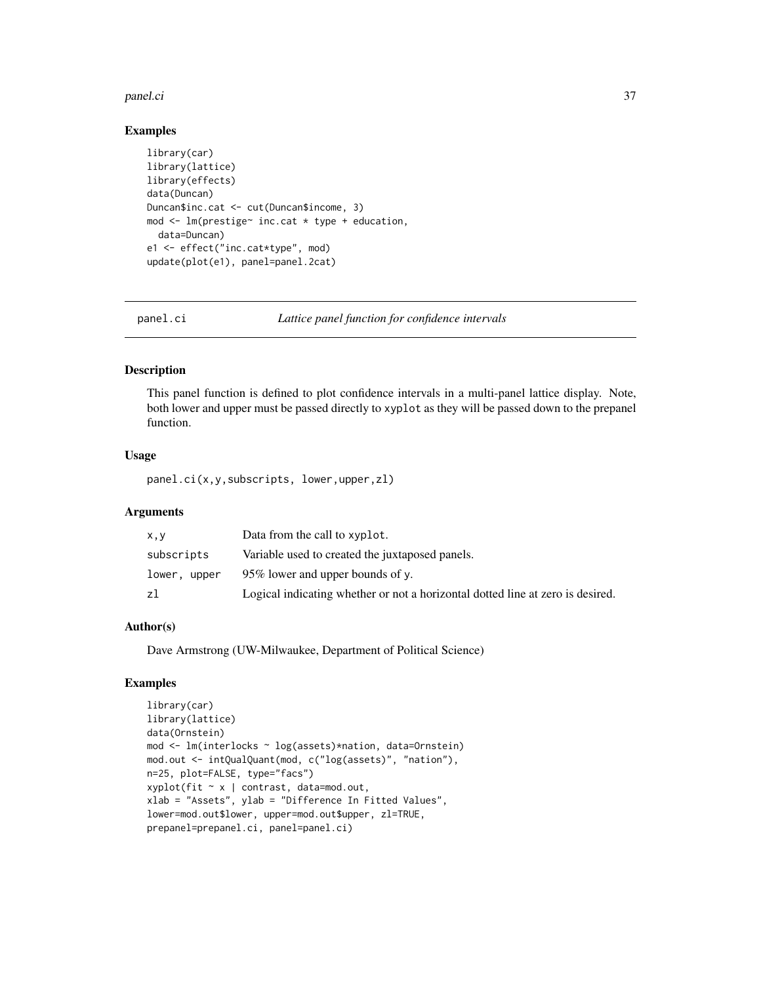#### <span id="page-36-0"></span>panel.ci 37

# Examples

```
library(car)
library(lattice)
library(effects)
data(Duncan)
Duncan$inc.cat <- cut(Duncan$income, 3)
mod <- lm(prestige~ inc.cat * type + education,
  data=Duncan)
e1 <- effect("inc.cat*type", mod)
update(plot(e1), panel=panel.2cat)
```
panel.ci *Lattice panel function for confidence intervals*

#### Description

This panel function is defined to plot confidence intervals in a multi-panel lattice display. Note, both lower and upper must be passed directly to xyplot as they will be passed down to the prepanel function.

#### Usage

panel.ci(x,y,subscripts, lower,upper,zl)

# Arguments

| x,y          | Data from the call to xyplot.                                                  |
|--------------|--------------------------------------------------------------------------------|
| subscripts   | Variable used to created the juxtaposed panels.                                |
| lower, upper | 95% lower and upper bounds of y.                                               |
| zl           | Logical indicating whether or not a horizontal dotted line at zero is desired. |

# Author(s)

Dave Armstrong (UW-Milwaukee, Department of Political Science)

```
library(car)
library(lattice)
data(Ornstein)
mod <- lm(interlocks ~ log(assets)*nation, data=Ornstein)
mod.out <- intQualQuant(mod, c("log(assets)", "nation"),
n=25, plot=FALSE, type="facs")
xyplot(fit ~ x | contrast, data=mod.out,
xlab = "Assets", ylab = "Difference In Fitted Values",
lower=mod.out$lower, upper=mod.out$upper, zl=TRUE,
prepanel=prepanel.ci, panel=panel.ci)
```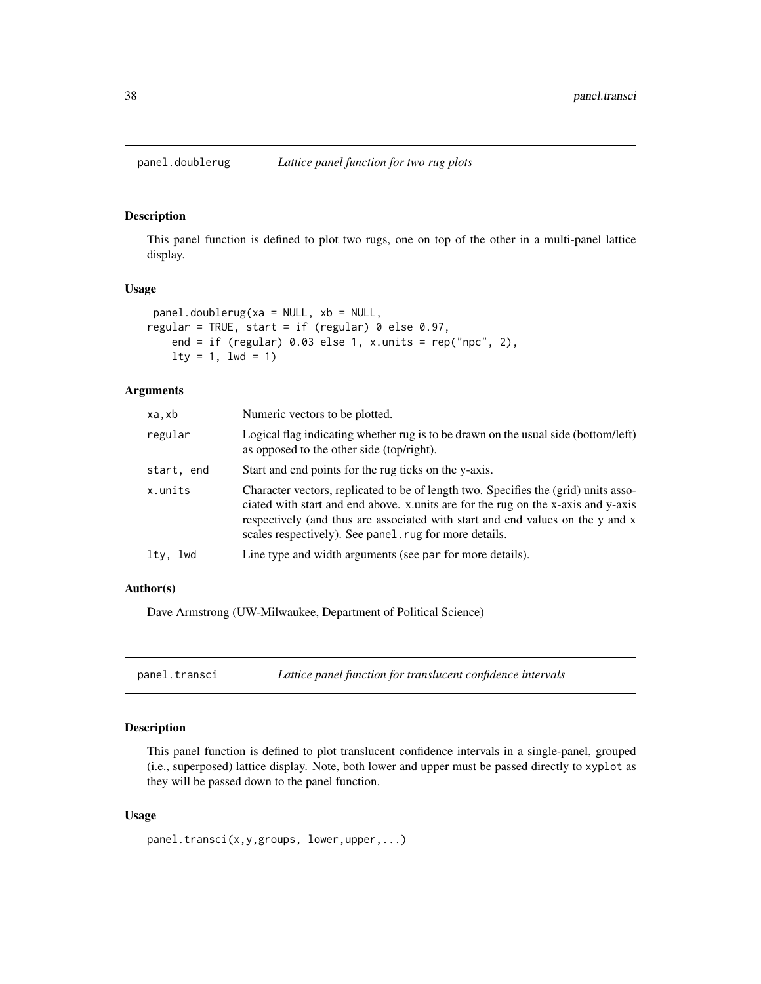<span id="page-37-0"></span>

This panel function is defined to plot two rugs, one on top of the other in a multi-panel lattice display.

#### Usage

```
panel.doublerug(xa = NULL, xb = NULL,
regular = TRUE, start = if (regular) 0 else 0.97,
   end = if (regular) 0.03 else 1, x.units = rep("npc", 2),
   lty = 1, lwd = 1
```
# Arguments

| xa,xb              | Numeric vectors to be plotted.                                                                                                                                                                                                                                                                                      |
|--------------------|---------------------------------------------------------------------------------------------------------------------------------------------------------------------------------------------------------------------------------------------------------------------------------------------------------------------|
| regular            | Logical flag indicating whether rug is to be drawn on the usual side (bottom/left)<br>as opposed to the other side (top/right).                                                                                                                                                                                     |
| start, end         | Start and end points for the rug ticks on the y-axis.                                                                                                                                                                                                                                                               |
| x.units            | Character vectors, replicated to be of length two. Specifies the (grid) units asso-<br>ciated with start and end above. x units are for the rug on the x-axis and y-axis<br>respectively (and thus are associated with start and end values on the y and x<br>scales respectively). See panel rug for more details. |
| ltv.<br><b>Lwd</b> | Line type and width arguments (see par for more details).                                                                                                                                                                                                                                                           |

# Author(s)

Dave Armstrong (UW-Milwaukee, Department of Political Science)

panel.transci *Lattice panel function for translucent confidence intervals*

# Description

This panel function is defined to plot translucent confidence intervals in a single-panel, grouped (i.e., superposed) lattice display. Note, both lower and upper must be passed directly to xyplot as they will be passed down to the panel function.

```
panel.transci(x,y,groups, lower,upper,...)
```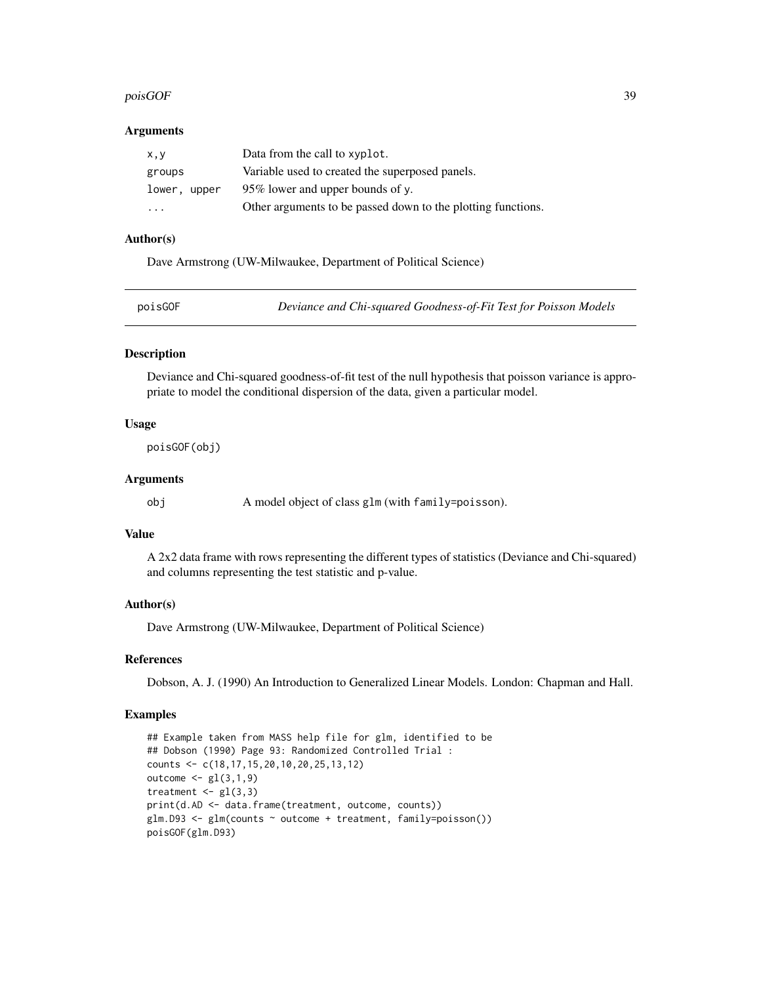#### <span id="page-38-0"></span> $poisGOF$  39

#### Arguments

| X, V                    | Data from the call to xyplot.                                |
|-------------------------|--------------------------------------------------------------|
| groups                  | Variable used to created the superposed panels.              |
| lower, upper            | 95% lower and upper bounds of y.                             |
| $\cdot$ $\cdot$ $\cdot$ | Other arguments to be passed down to the plotting functions. |

# Author(s)

Dave Armstrong (UW-Milwaukee, Department of Political Science)

| Deviance and Chi-squared Goodness-of-Fit Test for Poisson Models<br>poisGOF |
|-----------------------------------------------------------------------------|
|-----------------------------------------------------------------------------|

#### Description

Deviance and Chi-squared goodness-of-fit test of the null hypothesis that poisson variance is appropriate to model the conditional dispersion of the data, given a particular model.

# Usage

poisGOF(obj)

# Arguments

obj A model object of class glm (with family=poisson).

# Value

A 2x2 data frame with rows representing the different types of statistics (Deviance and Chi-squared) and columns representing the test statistic and p-value.

# Author(s)

Dave Armstrong (UW-Milwaukee, Department of Political Science)

#### References

Dobson, A. J. (1990) An Introduction to Generalized Linear Models. London: Chapman and Hall.

```
## Example taken from MASS help file for glm, identified to be
## Dobson (1990) Page 93: Randomized Controlled Trial :
counts <- c(18,17,15,20,10,20,25,13,12)
outcome <- gl(3,1,9)
treatment \leftarrow gl(3,3)
print(d.AD <- data.frame(treatment, outcome, counts))
glm.D93 <- glm(counts ~ outcome + treatment, family=poisson())
poisGOF(glm.D93)
```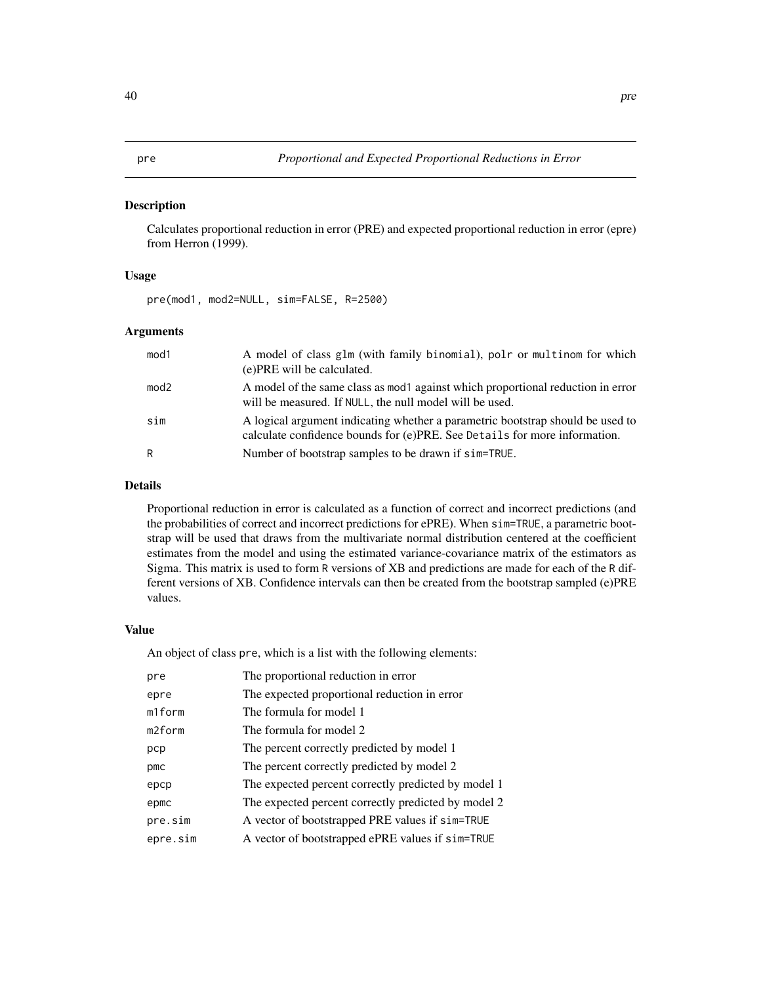<span id="page-39-0"></span>Calculates proportional reduction in error (PRE) and expected proportional reduction in error (epre) from Herron (1999).

#### Usage

pre(mod1, mod2=NULL, sim=FALSE, R=2500)

#### Arguments

| mod <sub>1</sub> | A model of class glm (with family binomial), polr or multinom for which<br>(e) PRE will be calculated.                                                      |
|------------------|-------------------------------------------------------------------------------------------------------------------------------------------------------------|
| mod <sub>2</sub> | A model of the same class as mod against which proportional reduction in error<br>will be measured. If NULL, the null model will be used.                   |
| sim              | A logical argument indicating whether a parametric bootstrap should be used to<br>calculate confidence bounds for (e)PRE. See Details for more information. |
| R                | Number of bootstrap samples to be drawn if sim=TRUE.                                                                                                        |

# Details

Proportional reduction in error is calculated as a function of correct and incorrect predictions (and the probabilities of correct and incorrect predictions for ePRE). When sim=TRUE, a parametric bootstrap will be used that draws from the multivariate normal distribution centered at the coefficient estimates from the model and using the estimated variance-covariance matrix of the estimators as Sigma. This matrix is used to form R versions of XB and predictions are made for each of the R different versions of XB. Confidence intervals can then be created from the bootstrap sampled (e)PRE values.

# Value

An object of class pre, which is a list with the following elements:

| pre      | The proportional reduction in error                 |
|----------|-----------------------------------------------------|
| epre     | The expected proportional reduction in error        |
| m1form   | The formula for model 1                             |
| m2form   | The formula for model 2                             |
| pcp      | The percent correctly predicted by model 1          |
| pmc      | The percent correctly predicted by model 2          |
| epcp     | The expected percent correctly predicted by model 1 |
| epmc     | The expected percent correctly predicted by model 2 |
| pre.sim  | A vector of bootstrapped PRE values if sim=TRUE     |
| epre.sim | A vector of bootstrapped ePRE values if sim=TRUE    |
|          |                                                     |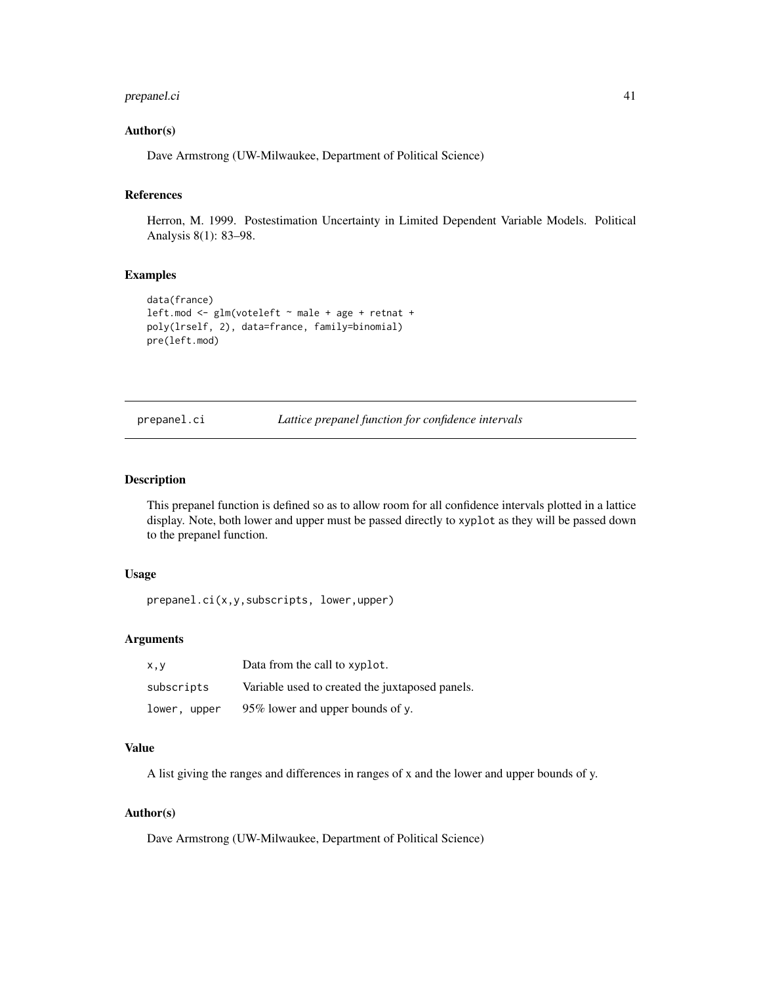# <span id="page-40-0"></span>prepanel.ci 41

# Author(s)

Dave Armstrong (UW-Milwaukee, Department of Political Science)

# References

Herron, M. 1999. Postestimation Uncertainty in Limited Dependent Variable Models. Political Analysis 8(1): 83–98.

#### Examples

```
data(france)
left.mod <- glm(voteleft ~ male + age + retnat +
poly(lrself, 2), data=france, family=binomial)
pre(left.mod)
```
prepanel.ci *Lattice prepanel function for confidence intervals*

# Description

This prepanel function is defined so as to allow room for all confidence intervals plotted in a lattice display. Note, both lower and upper must be passed directly to xyplot as they will be passed down to the prepanel function.

# Usage

prepanel.ci(x,y,subscripts, lower,upper)

#### Arguments

| X, V         | Data from the call to xyplot.                   |
|--------------|-------------------------------------------------|
| subscripts   | Variable used to created the juxtaposed panels. |
| lower, upper | 95% lower and upper bounds of y.                |

#### Value

A list giving the ranges and differences in ranges of x and the lower and upper bounds of y.

# Author(s)

Dave Armstrong (UW-Milwaukee, Department of Political Science)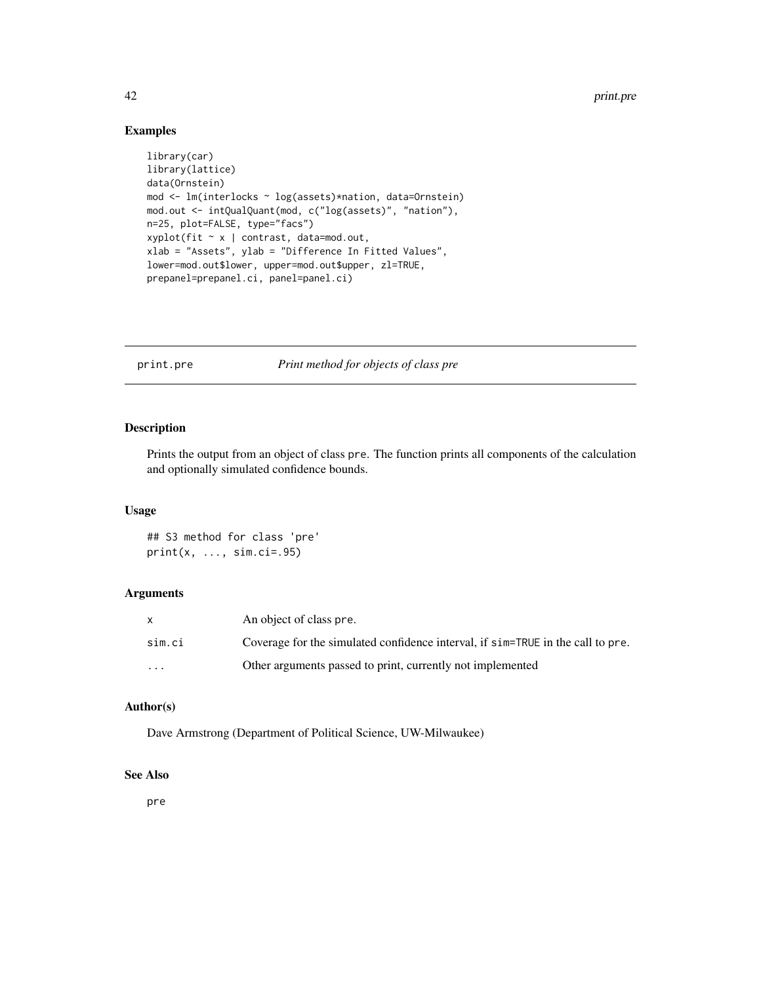#### 42 print.pre

# Examples

```
library(car)
library(lattice)
data(Ornstein)
mod <- lm(interlocks ~ log(assets)*nation, data=Ornstein)
mod.out <- intQualQuant(mod, c("log(assets)", "nation"),
n=25, plot=FALSE, type="facs")
xyplot(fit ~ x | contrast, data=mod.out,
xlab = "Assets", ylab = "Difference In Fitted Values",
lower=mod.out$lower, upper=mod.out$upper, zl=TRUE,
prepanel=prepanel.ci, panel=panel.ci)
```
print.pre *Print method for objects of class pre*

# Description

Prints the output from an object of class pre. The function prints all components of the calculation and optionally simulated confidence bounds.

#### Usage

## S3 method for class 'pre' print(x, ..., sim.ci=.95)

# Arguments

|          | An object of class pre.                                                         |
|----------|---------------------------------------------------------------------------------|
| sim.ci   | Coverage for the simulated confidence interval, if sim=TRUE in the call to pre. |
| $\cdots$ | Other arguments passed to print, currently not implemented                      |

# Author(s)

Dave Armstrong (Department of Political Science, UW-Milwaukee)

# See Also

pre

<span id="page-41-0"></span>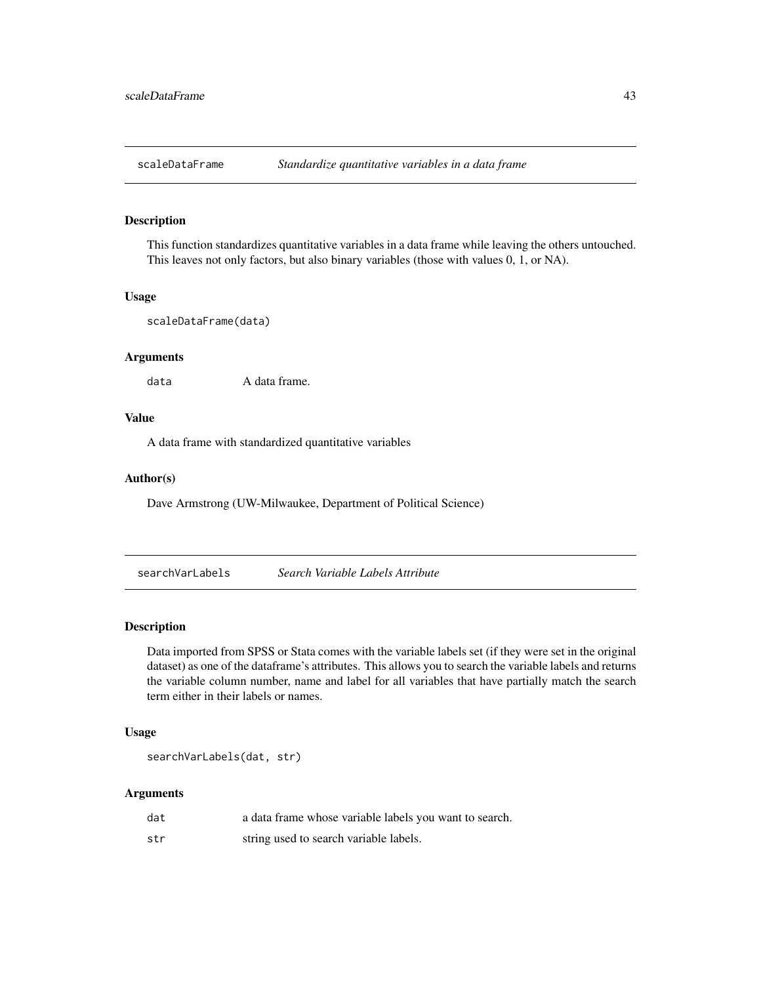<span id="page-42-0"></span>

This function standardizes quantitative variables in a data frame while leaving the others untouched. This leaves not only factors, but also binary variables (those with values 0, 1, or NA).

#### Usage

```
scaleDataFrame(data)
```
#### Arguments

data A data frame.

# Value

A data frame with standardized quantitative variables

#### Author(s)

Dave Armstrong (UW-Milwaukee, Department of Political Science)

searchVarLabels *Search Variable Labels Attribute*

#### Description

Data imported from SPSS or Stata comes with the variable labels set (if they were set in the original dataset) as one of the dataframe's attributes. This allows you to search the variable labels and returns the variable column number, name and label for all variables that have partially match the search term either in their labels or names.

# Usage

searchVarLabels(dat, str)

# Arguments

| dat | a data frame whose variable labels you want to search. |
|-----|--------------------------------------------------------|
| str | string used to search variable labels.                 |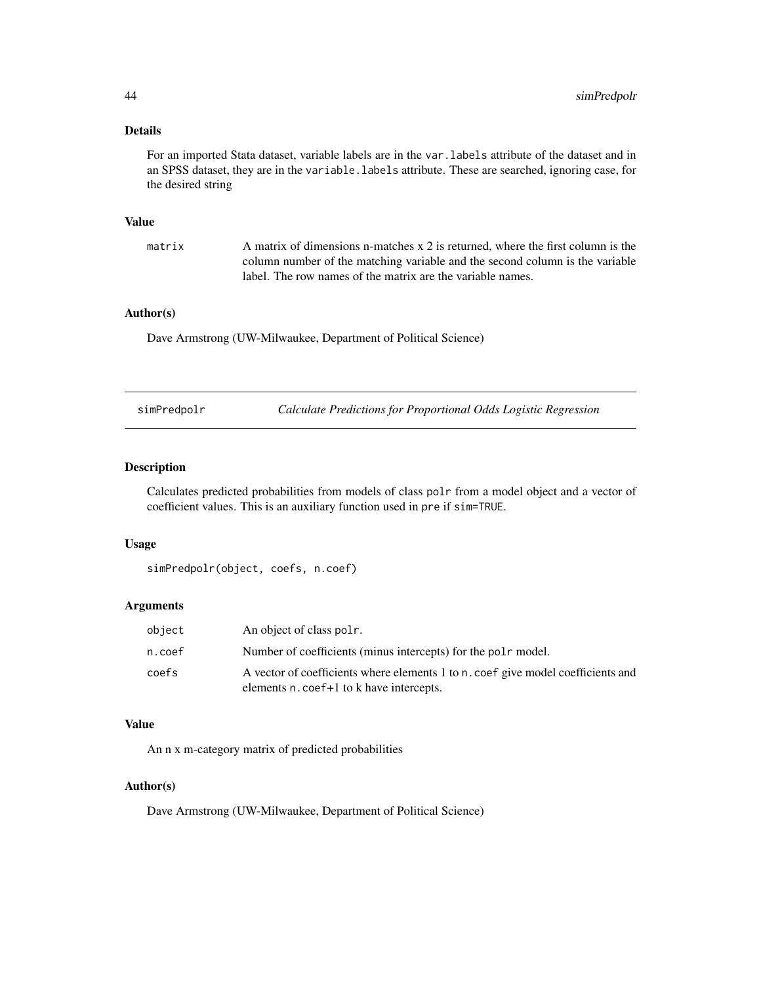# <span id="page-43-0"></span>Details

For an imported Stata dataset, variable labels are in the var.labels attribute of the dataset and in an SPSS dataset, they are in the variable.labels attribute. These are searched, ignoring case, for the desired string

#### Value

matrix A matrix of dimensions n-matches x 2 is returned, where the first column is the column number of the matching variable and the second column is the variable label. The row names of the matrix are the variable names.

# Author(s)

Dave Armstrong (UW-Milwaukee, Department of Political Science)

| simPredpolm |  |
|-------------|--|
|-------------|--|

simPredpolr *Calculate Predictions for Proportional Odds Logistic Regression*

# Description

Calculates predicted probabilities from models of class polr from a model object and a vector of coefficient values. This is an auxiliary function used in pre if sim=TRUE.

#### Usage

```
simPredpolr(object, coefs, n.coef)
```
#### Arguments

| object | An object of class pole.                                                                                                                 |
|--------|------------------------------------------------------------------------------------------------------------------------------------------|
| n.coef | Number of coefficients (minus intercepts) for the pole model.                                                                            |
| coefs  | A vector of coefficients where elements 1 to n. coef give model coefficients and<br>elements n. coef <sup>+1</sup> to k have intercepts. |

#### Value

An n x m-category matrix of predicted probabilities

#### Author(s)

Dave Armstrong (UW-Milwaukee, Department of Political Science)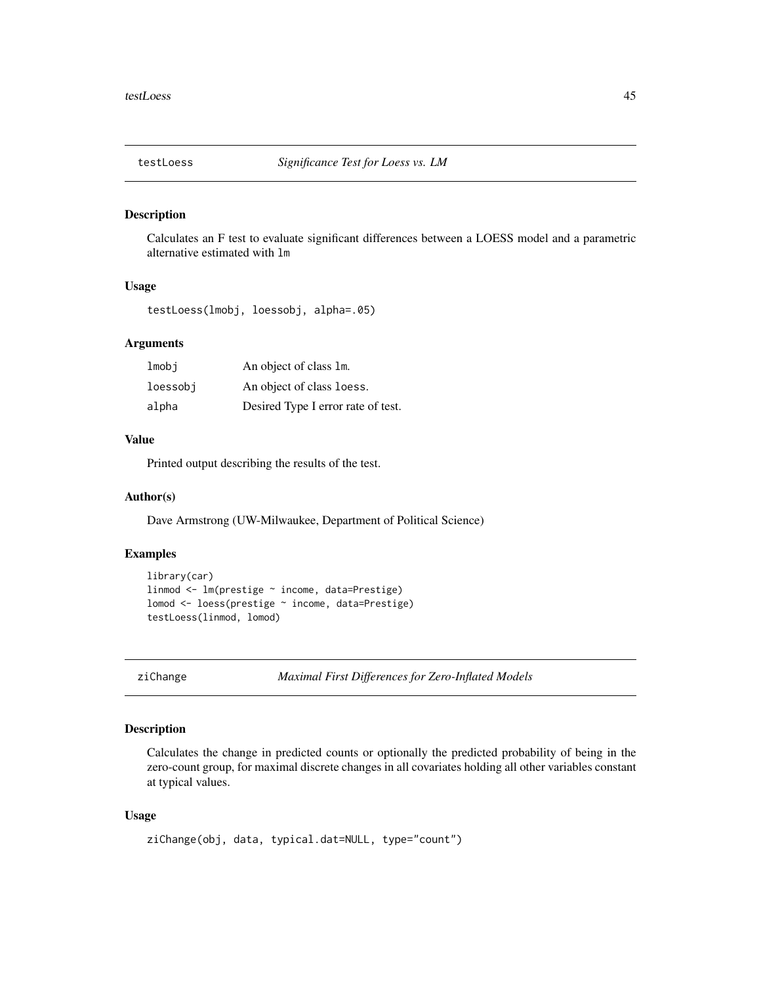<span id="page-44-0"></span>

Calculates an F test to evaluate significant differences between a LOESS model and a parametric alternative estimated with lm

# Usage

testLoess(lmobj, loessobj, alpha=.05)

#### Arguments

| lmobi    | An object of class 1m.             |
|----------|------------------------------------|
| loessobj | An object of class loess.          |
| alpha    | Desired Type I error rate of test. |

#### Value

Printed output describing the results of the test.

#### Author(s)

Dave Armstrong (UW-Milwaukee, Department of Political Science)

# Examples

```
library(car)
linmod <- lm(prestige ~ income, data=Prestige)
lomod <- loess(prestige ~ income, data=Prestige)
testLoess(linmod, lomod)
```
ziChange *Maximal First Differences for Zero-Inflated Models*

#### Description

Calculates the change in predicted counts or optionally the predicted probability of being in the zero-count group, for maximal discrete changes in all covariates holding all other variables constant at typical values.

```
ziChange(obj, data, typical.dat=NULL, type="count")
```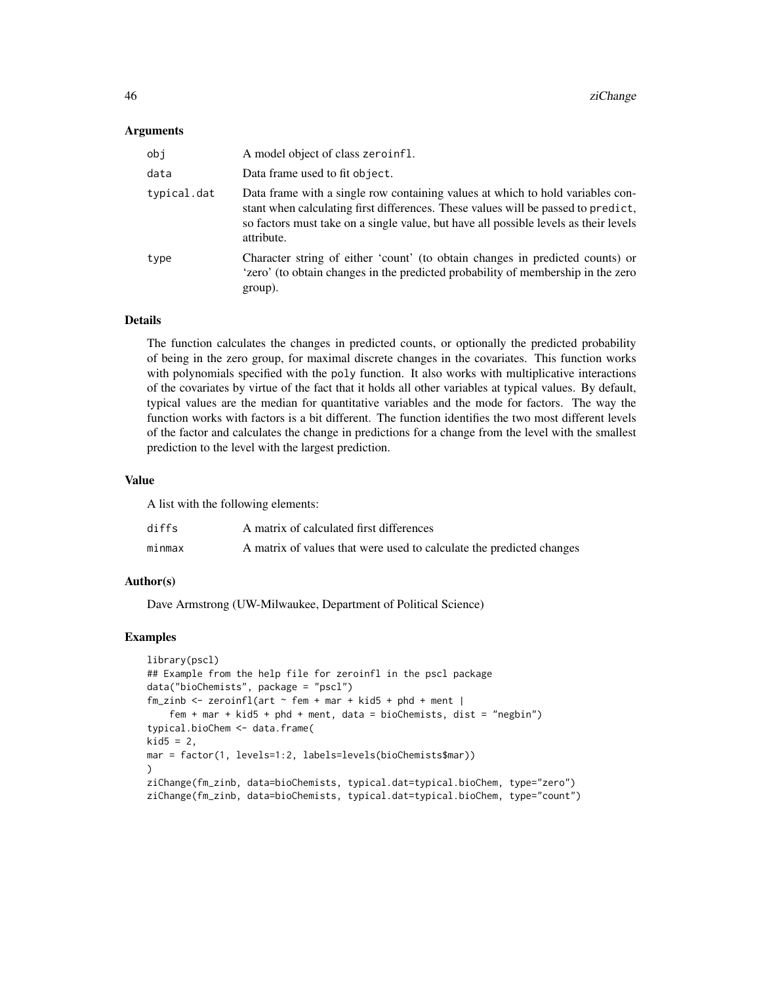#### Arguments

| obj         | A model object of class zeroinfl.                                                                                                                                                                                                                                         |
|-------------|---------------------------------------------------------------------------------------------------------------------------------------------------------------------------------------------------------------------------------------------------------------------------|
| data        | Data frame used to fit object.                                                                                                                                                                                                                                            |
| typical.dat | Data frame with a single row containing values at which to hold variables con-<br>stant when calculating first differences. These values will be passed to predict,<br>so factors must take on a single value, but have all possible levels as their levels<br>attribute. |
| type        | Character string of either 'count' (to obtain changes in predicted counts) or<br>'zero' (to obtain changes in the predicted probability of membership in the zero<br>group).                                                                                              |

# Details

The function calculates the changes in predicted counts, or optionally the predicted probability of being in the zero group, for maximal discrete changes in the covariates. This function works with polynomials specified with the poly function. It also works with multiplicative interactions of the covariates by virtue of the fact that it holds all other variables at typical values. By default, typical values are the median for quantitative variables and the mode for factors. The way the function works with factors is a bit different. The function identifies the two most different levels of the factor and calculates the change in predictions for a change from the level with the smallest prediction to the level with the largest prediction.

# Value

A list with the following elements:

| diffs  | A matrix of calculated first differences                             |
|--------|----------------------------------------------------------------------|
| minmax | A matrix of values that were used to calculate the predicted changes |

# Author(s)

Dave Armstrong (UW-Milwaukee, Department of Political Science)

```
library(pscl)
## Example from the help file for zeroinfl in the pscl package
data("bioChemists", package = "pscl")
fm\_zinb \leq zeroinfl(art \sim fem + mar + kid5 + phd + ment)fem + mar + kid5 + phd + ment, data = bioChemists, dist = "negbin")
typical.bioChem <- data.frame(
kid5 = 2,
mar = factor(1, levels=1:2, labels=levels(bioChemists$mar))
\mathcal{L}ziChange(fm_zinb, data=bioChemists, typical.dat=typical.bioChem, type="zero")
ziChange(fm_zinb, data=bioChemists, typical.dat=typical.bioChem, type="count")
```